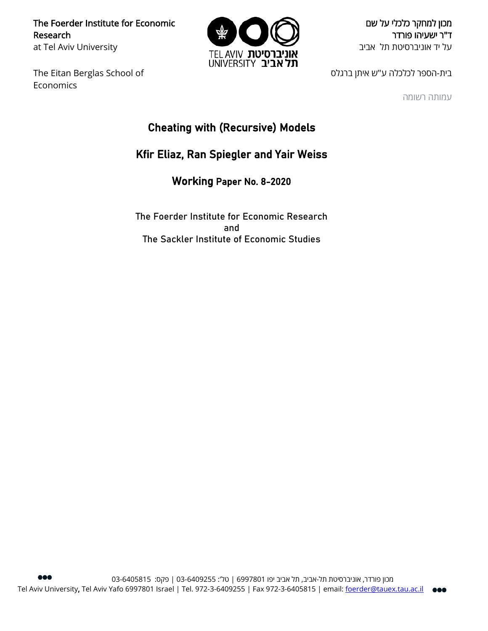The Foerder Institute for Economic Research at Tel Aviv University

The Eitan Berglas School of Economics



מכון למחקר כלכלי על שם ד"ר ישעיהו פורדר על יד אוניברסיטת תל אביב

בית-הספר לכלכלה ע"ש איתן ברגלס

עמותה רשומה

# Cheating with (Recursive) Models

## Kfir Eliaz, Ran Spiegler and Yair Weiss

Working Paper No. 8-2020

The Foerder Institute for Economic Research and The Sackler Institute of Economic Studies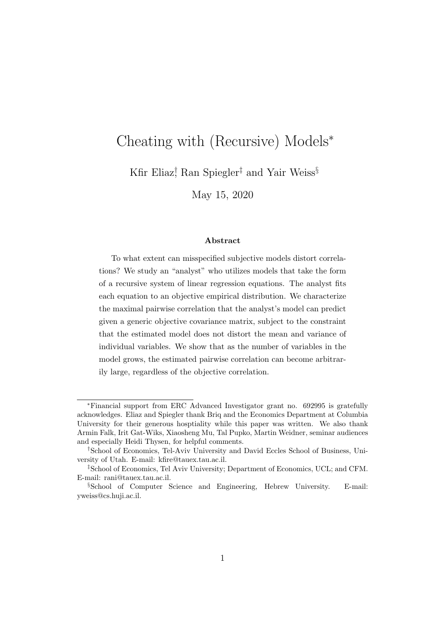# Cheating with (Recursive) Models<sup>∗</sup>

Kfir Eliaz<sup>†</sup> Ran Spiegler<sup>‡</sup> and Yair Weiss<sup>§</sup>

May 15, 2020

#### Abstract

To what extent can misspecified subjective models distort correlations? We study an "analyst" who utilizes models that take the form of a recursive system of linear regression equations. The analyst fits each equation to an objective empirical distribution. We characterize the maximal pairwise correlation that the analyst's model can predict given a generic objective covariance matrix, subject to the constraint that the estimated model does not distort the mean and variance of individual variables. We show that as the number of variables in the model grows, the estimated pairwise correlation can become arbitrarily large, regardless of the objective correlation.

<sup>∗</sup>Financial support from ERC Advanced Investigator grant no. 692995 is gratefully acknowledges. Eliaz and Spiegler thank Briq and the Economics Department at Columbia University for their generous hosptiality while this paper was written. We also thank Armin Falk, Irit Gat-Wiks, Xiaosheng Mu, Tal Pupko, Martin Weidner, seminar audiences and especially Heidi Thysen, for helpful comments.

<sup>†</sup>School of Economics, Tel-Aviv University and David Eccles School of Business, University of Utah. E-mail: kfire@tauex.tau.ac.il.

<sup>‡</sup>School of Economics, Tel Aviv University; Department of Economics, UCL; and CFM. E-mail: rani@tauex.tau.ac.il.

<sup>§</sup>School of Computer Science and Engineering, Hebrew University. E-mail: yweiss@cs.huji.ac.il.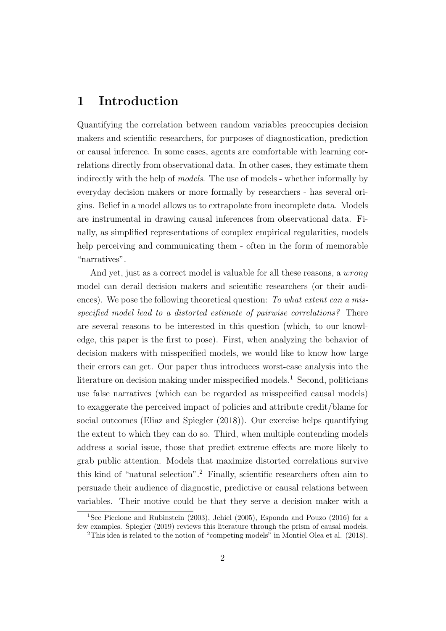## 1 Introduction

Quantifying the correlation between random variables preoccupies decision makers and scientific researchers, for purposes of diagnostication, prediction or causal inference. In some cases, agents are comfortable with learning correlations directly from observational data. In other cases, they estimate them indirectly with the help of models. The use of models - whether informally by everyday decision makers or more formally by researchers - has several origins. Belief in a model allows us to extrapolate from incomplete data. Models are instrumental in drawing causal inferences from observational data. Finally, as simplified representations of complex empirical regularities, models help perceiving and communicating them - often in the form of memorable "narratives".

And yet, just as a correct model is valuable for all these reasons, a *wrong* model can derail decision makers and scientific researchers (or their audiences). We pose the following theoretical question: To what extent can a misspecified model lead to a distorted estimate of pairwise correlations? There are several reasons to be interested in this question (which, to our knowledge, this paper is the first to pose). First, when analyzing the behavior of decision makers with misspecified models, we would like to know how large their errors can get. Our paper thus introduces worst-case analysis into the literature on decision making under misspecified models.<sup>1</sup> Second, politicians use false narratives (which can be regarded as misspecified causal models) to exaggerate the perceived impact of policies and attribute credit/blame for social outcomes (Eliaz and Spiegler (2018)). Our exercise helps quantifying the extent to which they can do so. Third, when multiple contending models address a social issue, those that predict extreme effects are more likely to grab public attention. Models that maximize distorted correlations survive this kind of "natural selection".<sup>2</sup> Finally, scientific researchers often aim to persuade their audience of diagnostic, predictive or causal relations between variables. Their motive could be that they serve a decision maker with a

<sup>&</sup>lt;sup>1</sup>See Piccione and Rubinstein (2003), Jehiel (2005), Esponda and Pouzo (2016) for a few examples. Spiegler (2019) reviews this literature through the prism of causal models.

<sup>2</sup>This idea is related to the notion of "competing models" in Montiel Olea et al. (2018).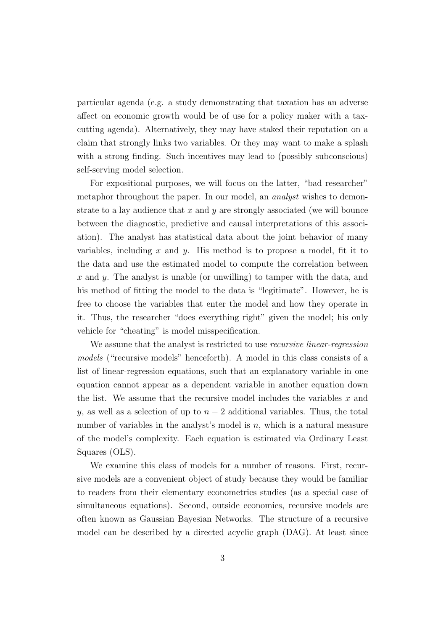particular agenda (e.g. a study demonstrating that taxation has an adverse affect on economic growth would be of use for a policy maker with a taxcutting agenda). Alternatively, they may have staked their reputation on a claim that strongly links two variables. Or they may want to make a splash with a strong finding. Such incentives may lead to (possibly subconscious) self-serving model selection.

For expositional purposes, we will focus on the latter, "bad researcher" metaphor throughout the paper. In our model, an *analyst* wishes to demonstrate to a lay audience that  $x$  and  $y$  are strongly associated (we will bounce between the diagnostic, predictive and causal interpretations of this association). The analyst has statistical data about the joint behavior of many variables, including x and y. His method is to propose a model, fit it to the data and use the estimated model to compute the correlation between x and y. The analyst is unable (or unwilling) to tamper with the data, and his method of fitting the model to the data is "legitimate". However, he is free to choose the variables that enter the model and how they operate in it. Thus, the researcher "does everything right" given the model; his only vehicle for "cheating" is model misspecification.

We assume that the analyst is restricted to use *recursive linear-regression* models ("recursive models" henceforth). A model in this class consists of a list of linear-regression equations, such that an explanatory variable in one equation cannot appear as a dependent variable in another equation down the list. We assume that the recursive model includes the variables  $x$  and y, as well as a selection of up to  $n-2$  additional variables. Thus, the total number of variables in the analyst's model is  $n$ , which is a natural measure of the model's complexity. Each equation is estimated via Ordinary Least Squares (OLS).

We examine this class of models for a number of reasons. First, recursive models are a convenient object of study because they would be familiar to readers from their elementary econometrics studies (as a special case of simultaneous equations). Second, outside economics, recursive models are often known as Gaussian Bayesian Networks. The structure of a recursive model can be described by a directed acyclic graph (DAG). At least since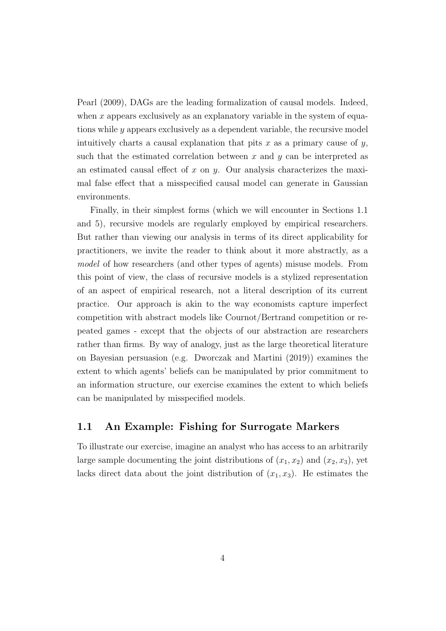Pearl (2009), DAGs are the leading formalization of causal models. Indeed, when  $x$  appears exclusively as an explanatory variable in the system of equations while  $\gamma$  appears exclusively as a dependent variable, the recursive model intuitively charts a causal explanation that pits  $x$  as a primary cause of  $y$ , such that the estimated correlation between  $x$  and  $y$  can be interpreted as an estimated causal effect of  $x$  on  $y$ . Our analysis characterizes the maximal false effect that a misspecified causal model can generate in Gaussian environments.

Finally, in their simplest forms (which we will encounter in Sections 1.1 and 5), recursive models are regularly employed by empirical researchers. But rather than viewing our analysis in terms of its direct applicability for practitioners, we invite the reader to think about it more abstractly, as a model of how researchers (and other types of agents) misuse models. From this point of view, the class of recursive models is a stylized representation of an aspect of empirical research, not a literal description of its current practice. Our approach is akin to the way economists capture imperfect competition with abstract models like Cournot/Bertrand competition or repeated games - except that the objects of our abstraction are researchers rather than firms. By way of analogy, just as the large theoretical literature on Bayesian persuasion (e.g. Dworczak and Martini (2019)) examines the extent to which agents' beliefs can be manipulated by prior commitment to an information structure, our exercise examines the extent to which beliefs can be manipulated by misspecified models.

### 1.1 An Example: Fishing for Surrogate Markers

To illustrate our exercise, imagine an analyst who has access to an arbitrarily large sample documenting the joint distributions of  $(x_1, x_2)$  and  $(x_2, x_3)$ , yet lacks direct data about the joint distribution of  $(x_1, x_3)$ . He estimates the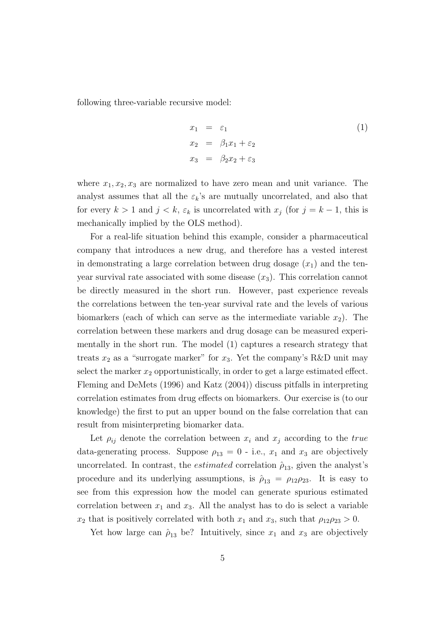following three-variable recursive model:

$$
x_1 = \varepsilon_1
$$
  
\n
$$
x_2 = \beta_1 x_1 + \varepsilon_2
$$
  
\n
$$
x_3 = \beta_2 x_2 + \varepsilon_3
$$
\n(1)

where  $x_1, x_2, x_3$  are normalized to have zero mean and unit variance. The analyst assumes that all the  $\varepsilon_k$ 's are mutually uncorrelated, and also that for every  $k > 1$  and  $j < k$ ,  $\varepsilon_k$  is uncorrelated with  $x_j$  (for  $j = k - 1$ , this is mechanically implied by the OLS method).

For a real-life situation behind this example, consider a pharmaceutical company that introduces a new drug, and therefore has a vested interest in demonstrating a large correlation between drug dosage  $(x_1)$  and the tenyear survival rate associated with some disease  $(x_3)$ . This correlation cannot be directly measured in the short run. However, past experience reveals the correlations between the ten-year survival rate and the levels of various biomarkers (each of which can serve as the intermediate variable  $x_2$ ). The correlation between these markers and drug dosage can be measured experimentally in the short run. The model (1) captures a research strategy that treats  $x_2$  as a "surrogate marker" for  $x_3$ . Yet the company's R&D unit may select the marker  $x_2$  opportunistically, in order to get a large estimated effect. Fleming and DeMets (1996) and Katz (2004)) discuss pitfalls in interpreting correlation estimates from drug effects on biomarkers. Our exercise is (to our knowledge) the first to put an upper bound on the false correlation that can result from misinterpreting biomarker data.

Let  $\rho_{ij}$  denote the correlation between  $x_i$  and  $x_j$  according to the true data-generating process. Suppose  $\rho_{13} = 0$  - i.e.,  $x_1$  and  $x_3$  are objectively uncorrelated. In contrast, the *estimated* correlation  $\hat{\rho}_{13}$ , given the analyst's procedure and its underlying assumptions, is  $\hat{\rho}_{13} = \rho_{12}\rho_{23}$ . It is easy to see from this expression how the model can generate spurious estimated correlation between  $x_1$  and  $x_3$ . All the analyst has to do is select a variable  $x_2$  that is positively correlated with both  $x_1$  and  $x_3$ , such that  $\rho_{12}\rho_{23} > 0$ .

Yet how large can  $\hat{\rho}_{13}$  be? Intuitively, since  $x_1$  and  $x_3$  are objectively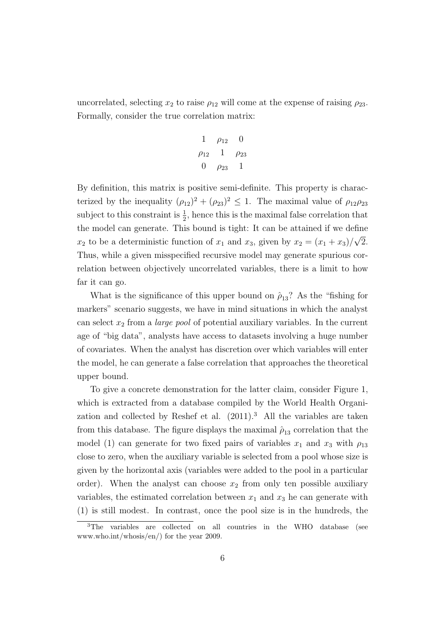uncorrelated, selecting  $x_2$  to raise  $\rho_{12}$  will come at the expense of raising  $\rho_{23}$ . Formally, consider the true correlation matrix:

$$
\begin{array}{ccc}\n1 & \rho_{12} & 0 \\
\rho_{12} & 1 & \rho_{23} \\
0 & \rho_{23} & 1\n\end{array}
$$

By definition, this matrix is positive semi-definite. This property is characterized by the inequality  $(\rho_{12})^2 + (\rho_{23})^2 \leq 1$ . The maximal value of  $\rho_{12}\rho_{23}$ subject to this constraint is  $\frac{1}{2}$ , hence this is the maximal false correlation that the model can generate. This bound is tight: It can be attained if we define  $x_2$  to be a deterministic function of  $x_1$  and  $x_3$ , given by  $x_2 = (x_1 + x_3)$ √ 2. Thus, while a given misspecified recursive model may generate spurious correlation between objectively uncorrelated variables, there is a limit to how far it can go.

What is the significance of this upper bound on  $\hat{\rho}_{13}$ ? As the "fishing for markers" scenario suggests, we have in mind situations in which the analyst can select  $x_2$  from a *large pool* of potential auxiliary variables. In the current age of "big data", analysts have access to datasets involving a huge number of covariates. When the analyst has discretion over which variables will enter the model, he can generate a false correlation that approaches the theoretical upper bound.

To give a concrete demonstration for the latter claim, consider Figure 1, which is extracted from a database compiled by the World Health Organization and collected by Reshef et al.  $(2011)^3$  All the variables are taken from this database. The figure displays the maximal  $\hat{\rho}_{13}$  correlation that the model (1) can generate for two fixed pairs of variables  $x_1$  and  $x_3$  with  $\rho_{13}$ close to zero, when the auxiliary variable is selected from a pool whose size is given by the horizontal axis (variables were added to the pool in a particular order). When the analyst can choose  $x_2$  from only ten possible auxiliary variables, the estimated correlation between  $x_1$  and  $x_3$  he can generate with (1) is still modest. In contrast, once the pool size is in the hundreds, the

<sup>&</sup>lt;sup>3</sup>The variables are collected on all countries in the WHO database (see www.who.int/whosis/en/) for the year 2009.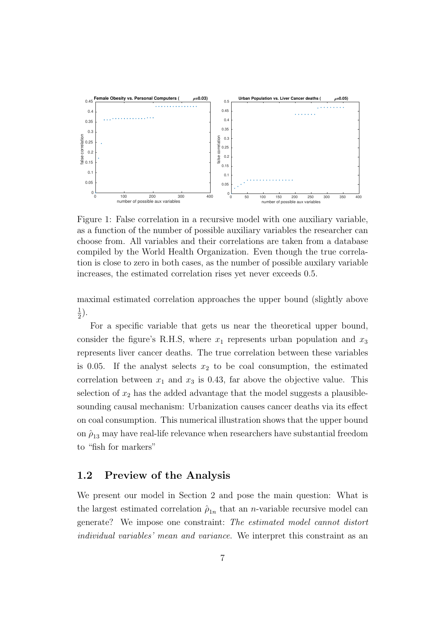

Figure 1: False correlation in a recursive model with one auxiliary variable, as a function of the number of possible auxiliary variables the researcher can choose from. All variables and their correlations are taken from a database compiled by the World Health Organization. Even though the true correlation is close to zero in both cases, as the number of possible auxilary variable increases, the estimated correlation rises yet never exceeds 0.5.

maximal estimated correlation approaches the upper bound (slightly above 1  $(\frac{1}{2})$ .

For a specific variable that gets us near the theoretical upper bound, consider the figure's R.H.S, where  $x_1$  represents urban population and  $x_3$ represents liver cancer deaths. The true correlation between these variables is 0.05. If the analyst selects  $x_2$  to be coal consumption, the estimated correlation between  $x_1$  and  $x_3$  is 0.43, far above the objective value. This selection of  $x_2$  has the added advantage that the model suggests a plausiblesounding causal mechanism: Urbanization causes cancer deaths via its effect on coal consumption. This numerical illustration shows that the upper bound on  $\hat{\rho}_{13}$  may have real-life relevance when researchers have substantial freedom to "fish for markers"

### 1.2 Preview of the Analysis

We present our model in Section 2 and pose the main question: What is the largest estimated correlation  $\hat{\rho}_{1n}$  that an *n*-variable recursive model can generate? We impose one constraint: The estimated model cannot distort individual variables' mean and variance. We interpret this constraint as an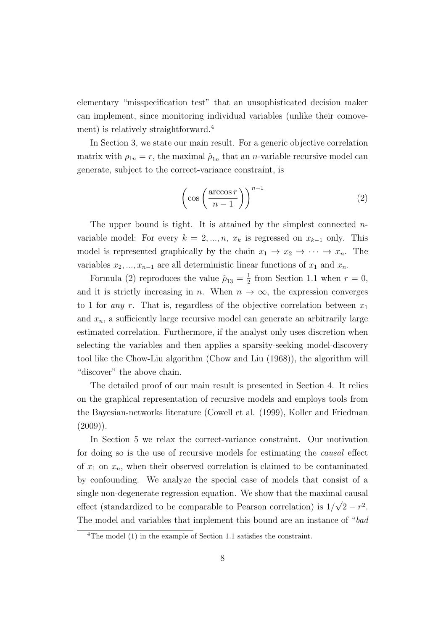elementary "misspecification test" that an unsophisticated decision maker can implement, since monitoring individual variables (unlike their comovement) is relatively straightforward.<sup>4</sup>

In Section 3, we state our main result. For a generic objective correlation matrix with  $\rho_{1n} = r$ , the maximal  $\hat{\rho}_{1n}$  that an *n*-variable recursive model can generate, subject to the correct-variance constraint, is

$$
\left(\cos\left(\frac{\arccos r}{n-1}\right)\right)^{n-1} \tag{2}
$$

The upper bound is tight. It is attained by the simplest connected  $n$ variable model: For every  $k = 2, ..., n$ ,  $x_k$  is regressed on  $x_{k-1}$  only. This model is represented graphically by the chain  $x_1 \rightarrow x_2 \rightarrow \cdots \rightarrow x_n$ . The variables  $x_2, ..., x_{n-1}$  are all deterministic linear functions of  $x_1$  and  $x_n$ .

Formula (2) reproduces the value  $\hat{\rho}_{13} = \frac{1}{2}$  $\frac{1}{2}$  from Section 1.1 when  $r = 0$ , and it is strictly increasing in n. When  $n \to \infty$ , the expression converges to 1 for any r. That is, regardless of the objective correlation between  $x_1$ and  $x_n$ , a sufficiently large recursive model can generate an arbitrarily large estimated correlation. Furthermore, if the analyst only uses discretion when selecting the variables and then applies a sparsity-seeking model-discovery tool like the Chow-Liu algorithm (Chow and Liu (1968)), the algorithm will "discover" the above chain.

The detailed proof of our main result is presented in Section 4. It relies on the graphical representation of recursive models and employs tools from the Bayesian-networks literature (Cowell et al. (1999), Koller and Friedman  $(2009)$ ).

In Section 5 we relax the correct-variance constraint. Our motivation for doing so is the use of recursive models for estimating the causal effect of  $x_1$  on  $x_n$ , when their observed correlation is claimed to be contaminated by confounding. We analyze the special case of models that consist of a single non-degenerate regression equation. We show that the maximal causal effect (standardized to be comparable to Pearson correlation) is 1/ √  $2-r^2$ . The model and variables that implement this bound are an instance of "bad

<sup>4</sup>The model (1) in the example of Section 1.1 satisfies the constraint.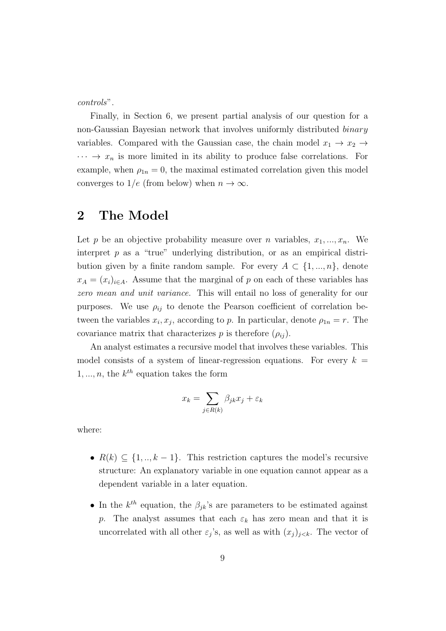controls".

Finally, in Section 6, we present partial analysis of our question for a non-Gaussian Bayesian network that involves uniformly distributed binary variables. Compared with the Gaussian case, the chain model  $x_1 \rightarrow x_2 \rightarrow$  $\cdots \rightarrow x_n$  is more limited in its ability to produce false correlations. For example, when  $\rho_{1n} = 0$ , the maximal estimated correlation given this model converges to  $1/e$  (from below) when  $n \to \infty$ .

### 2 The Model

Let p be an objective probability measure over n variables,  $x_1, ..., x_n$ . We interpret  $p$  as a "true" underlying distribution, or as an empirical distribution given by a finite random sample. For every  $A \subset \{1, ..., n\}$ , denote  $x_A = (x_i)_{i \in A}$ . Assume that the marginal of p on each of these variables has zero mean and unit variance. This will entail no loss of generality for our purposes. We use  $\rho_{ij}$  to denote the Pearson coefficient of correlation between the variables  $x_i, x_j$ , according to p. In particular, denote  $\rho_{1n} = r$ . The covariance matrix that characterizes p is therefore  $(\rho_{ij})$ .

An analyst estimates a recursive model that involves these variables. This model consists of a system of linear-regression equations. For every  $k =$  $1, ..., n$ , the  $k^{th}$  equation takes the form

$$
x_k = \sum_{j \in R(k)} \beta_{jk} x_j + \varepsilon_k
$$

where:

- $R(k) \subseteq \{1, ..., k-1\}$ . This restriction captures the model's recursive structure: An explanatory variable in one equation cannot appear as a dependent variable in a later equation.
- In the  $k^{th}$  equation, the  $\beta_{jk}$ 's are parameters to be estimated against p. The analyst assumes that each  $\varepsilon_k$  has zero mean and that it is uncorrelated with all other  $\varepsilon_j$ 's, as well as with  $(x_j)_{j \leq k}$ . The vector of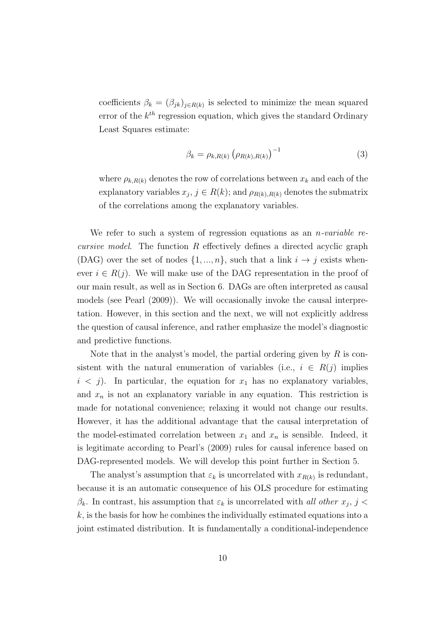coefficients  $\beta_k = (\beta_{jk})_{j \in R(k)}$  is selected to minimize the mean squared error of the  $k^{th}$  regression equation, which gives the standard Ordinary Least Squares estimate:

$$
\beta_k = \rho_{k,R(k)} \left( \rho_{R(k),R(k)} \right)^{-1} \tag{3}
$$

where  $\rho_{k,R(k)}$  denotes the row of correlations between  $x_k$  and each of the explanatory variables  $x_j$ ,  $j \in R(k)$ ; and  $\rho_{R(k),R(k)}$  denotes the submatrix of the correlations among the explanatory variables.

We refer to such a system of regression equations as an *n*-variable recursive model. The function R effectively defines a directed acyclic graph (DAG) over the set of nodes  $\{1, ..., n\}$ , such that a link  $i \rightarrow j$  exists whenever  $i \in R(j)$ . We will make use of the DAG representation in the proof of our main result, as well as in Section 6. DAGs are often interpreted as causal models (see Pearl (2009)). We will occasionally invoke the causal interpretation. However, in this section and the next, we will not explicitly address the question of causal inference, and rather emphasize the model's diagnostic and predictive functions.

Note that in the analyst's model, the partial ordering given by  $R$  is consistent with the natural enumeration of variables (i.e.,  $i \in R(j)$  implies  $i < j$ ). In particular, the equation for  $x_1$  has no explanatory variables, and  $x_n$  is not an explanatory variable in any equation. This restriction is made for notational convenience; relaxing it would not change our results. However, it has the additional advantage that the causal interpretation of the model-estimated correlation between  $x_1$  and  $x_n$  is sensible. Indeed, it is legitimate according to Pearl's (2009) rules for causal inference based on DAG-represented models. We will develop this point further in Section 5.

The analyst's assumption that  $\varepsilon_k$  is uncorrelated with  $x_{R(k)}$  is redundant, because it is an automatic consequence of his OLS procedure for estimating  $\beta_k$ . In contrast, his assumption that  $\varepsilon_k$  is uncorrelated with all other  $x_j$ ,  $j$  $k$ , is the basis for how he combines the individually estimated equations into a joint estimated distribution. It is fundamentally a conditional-independence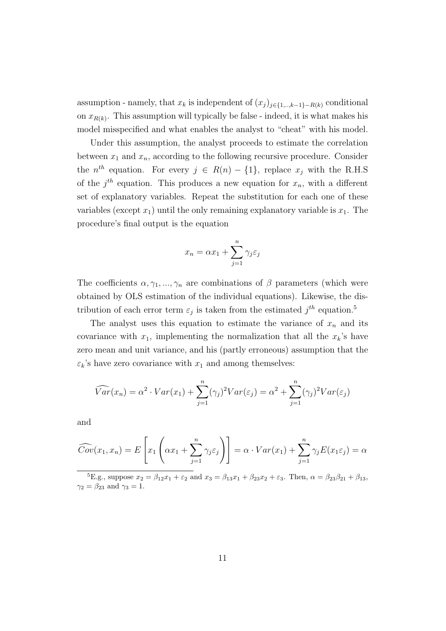assumption - namely, that  $x_k$  is independent of  $(x_j)_{j\in\{1,\ldots,k-1\}-R(k)}$  conditional on  $x_{R(k)}$ . This assumption will typically be false - indeed, it is what makes his model misspecified and what enables the analyst to "cheat" with his model.

Under this assumption, the analyst proceeds to estimate the correlation between  $x_1$  and  $x_n$ , according to the following recursive procedure. Consider the  $n^{th}$  equation. For every  $j \in R(n) - \{1\}$ , replace  $x_j$  with the R.H.S of the  $j<sup>th</sup>$  equation. This produces a new equation for  $x_n$ , with a different set of explanatory variables. Repeat the substitution for each one of these variables (except  $x_1$ ) until the only remaining explanatory variable is  $x_1$ . The procedure's final output is the equation

$$
x_n = \alpha x_1 + \sum_{j=1}^n \gamma_j \varepsilon_j
$$

The coefficients  $\alpha, \gamma_1, ..., \gamma_n$  are combinations of  $\beta$  parameters (which were obtained by OLS estimation of the individual equations). Likewise, the distribution of each error term  $\varepsilon_j$  is taken from the estimated  $j^{th}$  equation.<sup>5</sup>

The analyst uses this equation to estimate the variance of  $x_n$  and its covariance with  $x_1$ , implementing the normalization that all the  $x_k$ 's have zero mean and unit variance, and his (partly erroneous) assumption that the  $\varepsilon_k$ 's have zero covariance with  $x_1$  and among themselves:

$$
\widehat{Var}(x_n) = \alpha^2 \cdot Var(x_1) + \sum_{j=1}^n (\gamma_j)^2 Var(\varepsilon_j) = \alpha^2 + \sum_{j=1}^n (\gamma_j)^2 Var(\varepsilon_j)
$$

and

$$
\widehat{Cov}(x_1, x_n) = E\left[x_1\left(\alpha x_1 + \sum_{j=1}^n \gamma_j \varepsilon_j\right)\right] = \alpha \cdot Var(x_1) + \sum_{j=1}^n \gamma_j E(x_1 \varepsilon_j) = \alpha
$$

<sup>5</sup>E.g., suppose  $x_2 = \beta_{12}x_1 + \varepsilon_2$  and  $x_3 = \beta_{13}x_1 + \beta_{23}x_2 + \varepsilon_3$ . Then,  $\alpha = \beta_{23}\beta_{21} + \beta_{13}$ ,  $\gamma_2 = \beta_{23}$  and  $\gamma_3 = 1$ .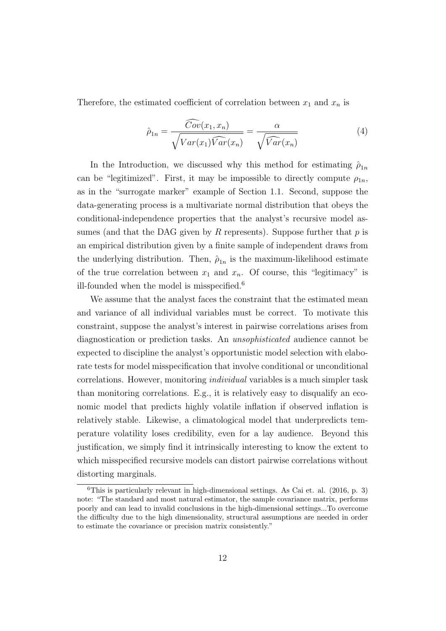Therefore, the estimated coefficient of correlation between  $x_1$  and  $x_n$  is

$$
\hat{\rho}_{1n} = \frac{Cov(x_1, x_n)}{\sqrt{Var(x_1)\widehat{Var}(x_n)}} = \frac{\alpha}{\sqrt{\widehat{Var}(x_n)}}
$$
(4)

In the Introduction, we discussed why this method for estimating  $\hat{\rho}_{1n}$ can be "legitimized". First, it may be impossible to directly compute  $\rho_{1n}$ , as in the "surrogate marker" example of Section 1.1. Second, suppose the data-generating process is a multivariate normal distribution that obeys the conditional-independence properties that the analyst's recursive model assumes (and that the DAG given by R represents). Suppose further that  $p$  is an empirical distribution given by a finite sample of independent draws from the underlying distribution. Then,  $\hat{\rho}_{1n}$  is the maximum-likelihood estimate of the true correlation between  $x_1$  and  $x_n$ . Of course, this "legitimacy" is ill-founded when the model is misspecified.<sup>6</sup>

We assume that the analyst faces the constraint that the estimated mean and variance of all individual variables must be correct. To motivate this constraint, suppose the analyst's interest in pairwise correlations arises from diagnostication or prediction tasks. An unsophisticated audience cannot be expected to discipline the analyst's opportunistic model selection with elaborate tests for model misspecification that involve conditional or unconditional correlations. However, monitoring individual variables is a much simpler task than monitoring correlations. E.g., it is relatively easy to disqualify an economic model that predicts highly volatile inflation if observed inflation is relatively stable. Likewise, a climatological model that underpredicts temperature volatility loses credibility, even for a lay audience. Beyond this justification, we simply find it intrinsically interesting to know the extent to which misspecified recursive models can distort pairwise correlations without distorting marginals.

 $6$ This is particularly relevant in high-dimensional settings. As Cai et. al. (2016, p. 3) note: "The standard and most natural estimator, the sample covariance matrix, performs poorly and can lead to invalid conclusions in the high-dimensional settings...To overcome the difficulty due to the high dimensionality, structural assumptions are needed in order to estimate the covariance or precision matrix consistently."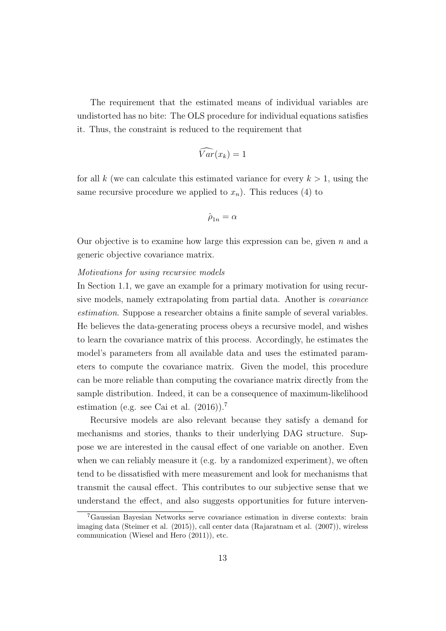The requirement that the estimated means of individual variables are undistorted has no bite: The OLS procedure for individual equations satisfies it. Thus, the constraint is reduced to the requirement that

$$
\widehat{Var}(x_k)=1
$$

for all k (we can calculate this estimated variance for every  $k > 1$ , using the same recursive procedure we applied to  $x_n$ ). This reduces (4) to

$$
\hat{\rho}_{1n} = \alpha
$$

Our objective is to examine how large this expression can be, given  $n$  and a generic objective covariance matrix.

#### Motivations for using recursive models

In Section 1.1, we gave an example for a primary motivation for using recursive models, namely extrapolating from partial data. Another is covariance estimation. Suppose a researcher obtains a finite sample of several variables. He believes the data-generating process obeys a recursive model, and wishes to learn the covariance matrix of this process. Accordingly, he estimates the model's parameters from all available data and uses the estimated parameters to compute the covariance matrix. Given the model, this procedure can be more reliable than computing the covariance matrix directly from the sample distribution. Indeed, it can be a consequence of maximum-likelihood estimation (e.g. see Cai et al. (2016)).<sup>7</sup>

Recursive models are also relevant because they satisfy a demand for mechanisms and stories, thanks to their underlying DAG structure. Suppose we are interested in the causal effect of one variable on another. Even when we can reliably measure it (e.g. by a randomized experiment), we often tend to be dissatisfied with mere measurement and look for mechanisms that transmit the causal effect. This contributes to our subjective sense that we understand the effect, and also suggests opportunities for future interven-

<sup>7</sup>Gaussian Bayesian Networks serve covariance estimation in diverse contexts: brain imaging data (Steimer et al. (2015)), call center data (Rajaratnam et al. (2007)), wireless communication (Wiesel and Hero (2011)), etc.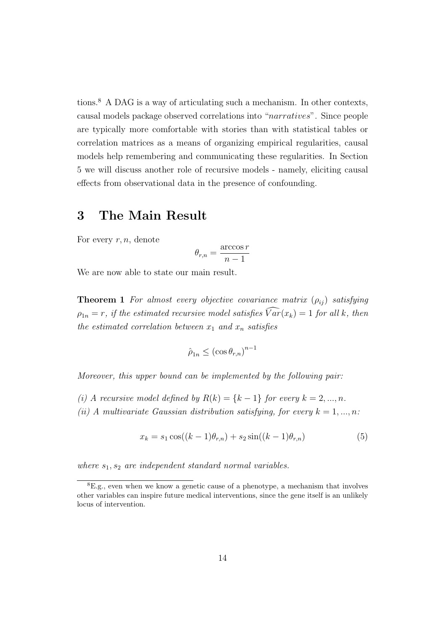tions.<sup>8</sup> A DAG is a way of articulating such a mechanism. In other contexts, causal models package observed correlations into "narratives". Since people are typically more comfortable with stories than with statistical tables or correlation matrices as a means of organizing empirical regularities, causal models help remembering and communicating these regularities. In Section 5 we will discuss another role of recursive models - namely, eliciting causal effects from observational data in the presence of confounding.

### 3 The Main Result

For every  $r, n$ , denote

$$
\theta_{r,n} = \frac{\arccos r}{n-1}
$$

We are now able to state our main result.

**Theorem 1** For almost every objective covariance matrix  $(\rho_{ij})$  satisfying  $\rho_{1n} = r$ , if the estimated recursive model satisfies  $\widehat{Var}(x_k) = 1$  for all k, then the estimated correlation between  $x_1$  and  $x_n$  satisfies

$$
\hat{\rho}_{1n} \leq (\cos \theta_{r,n})^{n-1}
$$

Moreover, this upper bound can be implemented by the following pair:

(i) A recursive model defined by  $R(k) = \{k-1\}$  for every  $k = 2, ..., n$ .

(ii) A multivariate Gaussian distribution satisfying, for every  $k = 1, ..., n$ :

$$
x_k = s_1 \cos((k-1)\theta_{r,n}) + s_2 \sin((k-1)\theta_{r,n})
$$
\n(5)

where  $s_1, s_2$  are independent standard normal variables.

<sup>8</sup>E.g., even when we know a genetic cause of a phenotype, a mechanism that involves other variables can inspire future medical interventions, since the gene itself is an unlikely locus of intervention.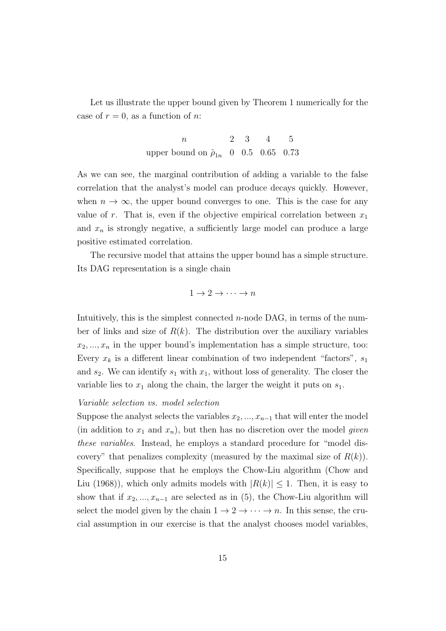Let us illustrate the upper bound given by Theorem 1 numerically for the case of  $r = 0$ , as a function of n:

> $n \hspace{1.5cm} 2 \hspace{.3cm} 3 \hspace{.3cm} 4 \hspace{.3cm} 5$ upper bound on  $\hat{\rho}_{1n}$  0 0.5 0.65 0.73

As we can see, the marginal contribution of adding a variable to the false correlation that the analyst's model can produce decays quickly. However, when  $n \to \infty$ , the upper bound converges to one. This is the case for any value of r. That is, even if the objective empirical correlation between  $x_1$ and  $x_n$  is strongly negative, a sufficiently large model can produce a large positive estimated correlation.

The recursive model that attains the upper bound has a simple structure. Its DAG representation is a single chain

 $1 \rightarrow 2 \rightarrow \cdots \rightarrow n$ 

Intuitively, this is the simplest connected  $n$ -node DAG, in terms of the number of links and size of  $R(k)$ . The distribution over the auxiliary variables  $x_2, \ldots, x_n$  in the upper bound's implementation has a simple structure, too: Every  $x_k$  is a different linear combination of two independent "factors",  $s_1$ and  $s_2$ . We can identify  $s_1$  with  $x_1$ , without loss of generality. The closer the variable lies to  $x_1$  along the chain, the larger the weight it puts on  $s_1$ .

#### Variable selection vs. model selection

Suppose the analyst selects the variables  $x_2, ..., x_{n-1}$  that will enter the model (in addition to  $x_1$  and  $x_n$ ), but then has no discretion over the model given these variables. Instead, he employs a standard procedure for "model discovery" that penalizes complexity (measured by the maximal size of  $R(k)$ ). Specifically, suppose that he employs the Chow-Liu algorithm (Chow and Liu (1968)), which only admits models with  $|R(k)| \leq 1$ . Then, it is easy to show that if  $x_2, ..., x_{n-1}$  are selected as in (5), the Chow-Liu algorithm will select the model given by the chain  $1 \rightarrow 2 \rightarrow \cdots \rightarrow n$ . In this sense, the crucial assumption in our exercise is that the analyst chooses model variables,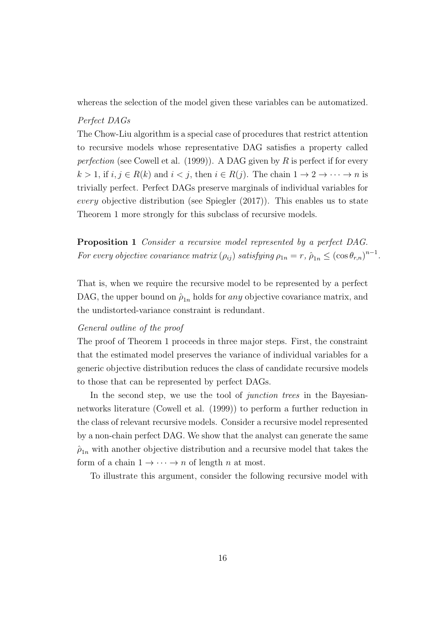whereas the selection of the model given these variables can be automatized.

#### Perfect DAGs

The Chow-Liu algorithm is a special case of procedures that restrict attention to recursive models whose representative DAG satisfies a property called perfection (see Cowell et al. (1999)). A DAG given by R is perfect if for every  $k > 1$ , if  $i, j \in R(k)$  and  $i < j$ , then  $i \in R(j)$ . The chain  $1 \to 2 \to \cdots \to n$  is trivially perfect. Perfect DAGs preserve marginals of individual variables for every objective distribution (see Spiegler (2017)). This enables us to state Theorem 1 more strongly for this subclass of recursive models.

Proposition 1 Consider a recursive model represented by a perfect DAG. For every objective covariance matrix  $(\rho_{ij})$  satisfying  $\rho_{1n} = r$ ,  $\hat{\rho}_{1n} \leq (\cos \theta_{r,n})^{n-1}$ .

That is, when we require the recursive model to be represented by a perfect DAG, the upper bound on  $\hat{\rho}_{1n}$  holds for any objective covariance matrix, and the undistorted-variance constraint is redundant.

#### General outline of the proof

The proof of Theorem 1 proceeds in three major steps. First, the constraint that the estimated model preserves the variance of individual variables for a generic objective distribution reduces the class of candidate recursive models to those that can be represented by perfect DAGs.

In the second step, we use the tool of *junction trees* in the Bayesiannetworks literature (Cowell et al. (1999)) to perform a further reduction in the class of relevant recursive models. Consider a recursive model represented by a non-chain perfect DAG. We show that the analyst can generate the same  $\hat{\rho}_{1n}$  with another objective distribution and a recursive model that takes the form of a chain  $1 \rightarrow \cdots \rightarrow n$  of length *n* at most.

To illustrate this argument, consider the following recursive model with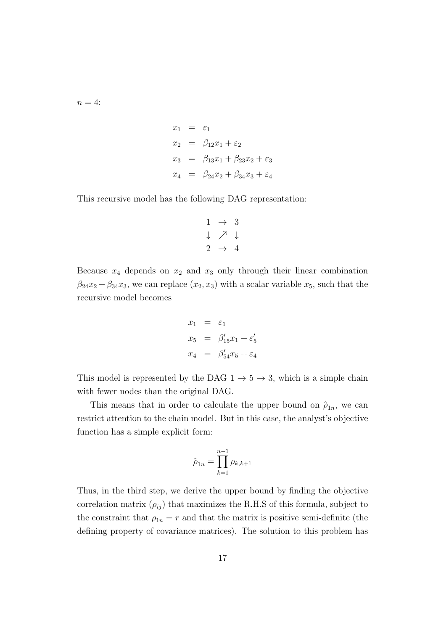$n=4$ :

$$
x_1 = \varepsilon_1
$$
  
\n
$$
x_2 = \beta_{12}x_1 + \varepsilon_2
$$
  
\n
$$
x_3 = \beta_{13}x_1 + \beta_{23}x_2 + \varepsilon_3
$$
  
\n
$$
x_4 = \beta_{24}x_2 + \beta_{34}x_3 + \varepsilon_4
$$

This recursive model has the following DAG representation:

$$
\begin{array}{ccc}\n1 & \rightarrow & 3 \\
\downarrow & \nearrow & \downarrow \\
2 & \rightarrow & 4\n\end{array}
$$

Because  $x_4$  depends on  $x_2$  and  $x_3$  only through their linear combination  $\beta_{24}x_2 + \beta_{34}x_3$ , we can replace  $(x_2, x_3)$  with a scalar variable  $x_5$ , such that the recursive model becomes

$$
x_1 = \varepsilon_1
$$
  
\n
$$
x_5 = \beta'_{15}x_1 + \varepsilon'_5
$$
  
\n
$$
x_4 = \beta'_{54}x_5 + \varepsilon_4
$$

This model is represented by the DAG  $1 \rightarrow 5 \rightarrow 3$ , which is a simple chain with fewer nodes than the original DAG.

This means that in order to calculate the upper bound on  $\hat{\rho}_{1n}$ , we can restrict attention to the chain model. But in this case, the analyst's objective function has a simple explicit form:

$$
\hat{\rho}_{1n} = \prod_{k=1}^{n-1} \rho_{k,k+1}
$$

Thus, in the third step, we derive the upper bound by finding the objective correlation matrix  $(\rho_{ij})$  that maximizes the R.H.S of this formula, subject to the constraint that  $\rho_{1n} = r$  and that the matrix is positive semi-definite (the defining property of covariance matrices). The solution to this problem has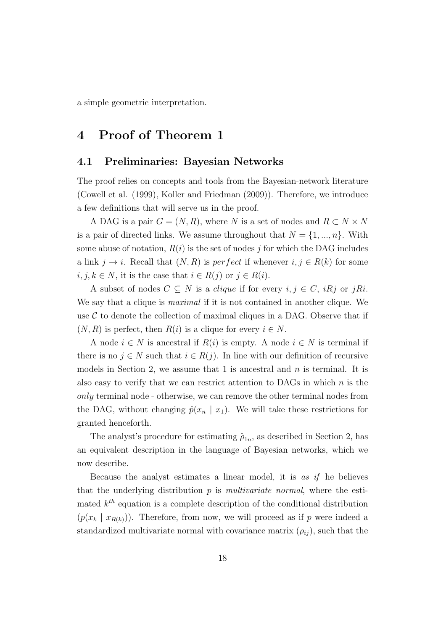a simple geometric interpretation.

### 4 Proof of Theorem 1

### 4.1 Preliminaries: Bayesian Networks

The proof relies on concepts and tools from the Bayesian-network literature (Cowell et al. (1999), Koller and Friedman (2009)). Therefore, we introduce a few definitions that will serve us in the proof.

A DAG is a pair  $G = (N, R)$ , where N is a set of nodes and  $R \subset N \times N$ is a pair of directed links. We assume throughout that  $N = \{1, ..., n\}$ . With some abuse of notation,  $R(i)$  is the set of nodes j for which the DAG includes a link  $j \to i$ . Recall that  $(N, R)$  is perfect if whenever  $i, j \in R(k)$  for some  $i, j, k \in N$ , it is the case that  $i \in R(j)$  or  $j \in R(i)$ .

A subset of nodes  $C \subseteq N$  is a *clique* if for every  $i, j \in C$ , *iRj* or *jRi*. We say that a clique is *maximal* if it is not contained in another clique. We use  $C$  to denote the collection of maximal cliques in a DAG. Observe that if  $(N, R)$  is perfect, then  $R(i)$  is a clique for every  $i \in N$ .

A node  $i \in N$  is ancestral if  $R(i)$  is empty. A node  $i \in N$  is terminal if there is no  $j \in N$  such that  $i \in R(j)$ . In line with our definition of recursive models in Section 2, we assume that 1 is ancestral and  $n$  is terminal. It is also easy to verify that we can restrict attention to DAGs in which  $n$  is the only terminal node - otherwise, we can remove the other terminal nodes from the DAG, without changing  $\hat{p}(x_n | x_1)$ . We will take these restrictions for granted henceforth.

The analyst's procedure for estimating  $\hat{\rho}_{1n}$ , as described in Section 2, has an equivalent description in the language of Bayesian networks, which we now describe.

Because the analyst estimates a linear model, it is as if he believes that the underlying distribution  $p$  is *multivariate normal*, where the estimated  $k^{th}$  equation is a complete description of the conditional distribution  $(p(x_k | x_{R(k)}))$ . Therefore, from now, we will proceed as if p were indeed a standardized multivariate normal with covariance matrix  $(\rho_{ij})$ , such that the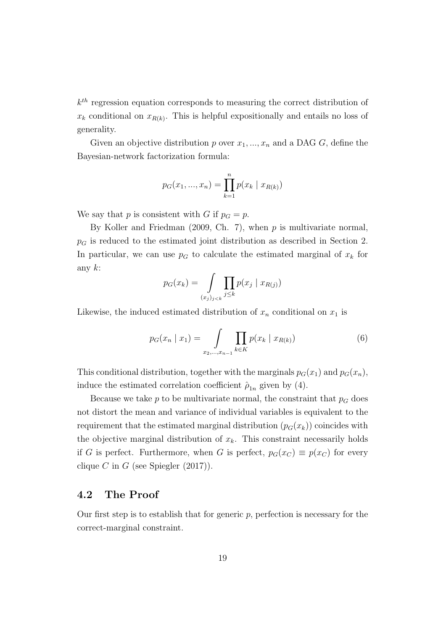k th regression equation corresponds to measuring the correct distribution of  $x_k$  conditional on  $x_{R(k)}$ . This is helpful expositionally and entails no loss of generality.

Given an objective distribution p over  $x_1, ..., x_n$  and a DAG G, define the Bayesian-network factorization formula:

$$
p_G(x_1, ..., x_n) = \prod_{k=1}^n p(x_k | x_{R(k)})
$$

We say that p is consistent with G if  $p<sub>G</sub> = p$ .

By Koller and Friedman (2009, Ch. 7), when  $p$  is multivariate normal,  $p<sub>G</sub>$  is reduced to the estimated joint distribution as described in Section 2. In particular, we can use  $p<sub>G</sub>$  to calculate the estimated marginal of  $x<sub>k</sub>$  for any  $k$ :

$$
p_G(x_k) = \int_{(x_j)_{j < k}} \prod_{j \le k} p(x_j \mid x_{R(j)})
$$

Likewise, the induced estimated distribution of  $x_n$  conditional on  $x_1$  is

$$
p_G(x_n \mid x_1) = \int\limits_{x_2, \dots, x_{n-1}} \prod_{k \in K} p(x_k \mid x_{R(k)}) \tag{6}
$$

This conditional distribution, together with the marginals  $p_G(x_1)$  and  $p_G(x_n)$ , induce the estimated correlation coefficient  $\hat{\rho}_{1n}$  given by (4).

Because we take  $p$  to be multivariate normal, the constraint that  $p<sub>G</sub>$  does not distort the mean and variance of individual variables is equivalent to the requirement that the estimated marginal distribution  $(p_G(x_k))$  coincides with the objective marginal distribution of  $x_k$ . This constraint necessarily holds if G is perfect. Furthermore, when G is perfect,  $p_G(x_C) \equiv p(x_C)$  for every clique C in G (see Spiegler  $(2017)$ ).

### 4.2 The Proof

Our first step is to establish that for generic  $p$ , perfection is necessary for the correct-marginal constraint.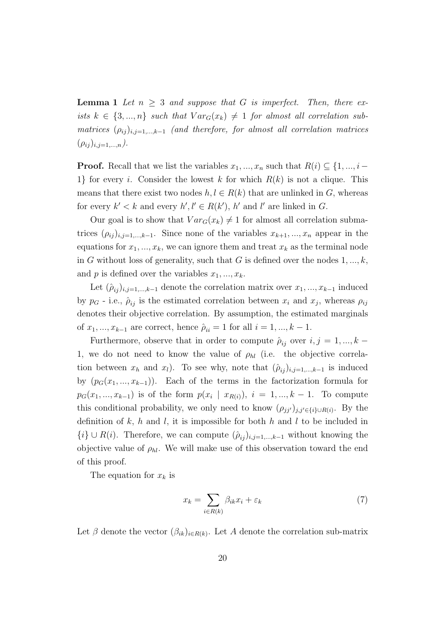**Lemma 1** Let  $n \geq 3$  and suppose that G is imperfect. Then, there exists  $k \in \{3, ..., n\}$  such that  $Var_G(x_k) \neq 1$  for almost all correlation submatrices  $(\rho_{ij})_{i,j=1,\dots,k-1}$  (and therefore, for almost all correlation matrices  $(\rho_{ij})_{i,j=1,...,n}$ ).

**Proof.** Recall that we list the variables  $x_1, ..., x_n$  such that  $R(i) \subseteq \{1, ..., i-\}$ 1} for every i. Consider the lowest k for which  $R(k)$  is not a clique. This means that there exist two nodes  $h, l \in R(k)$  that are unlinked in G, whereas for every  $k' < k$  and every  $h', l' \in R(k')$ , h' and l' are linked in G.

Our goal is to show that  $Var_G(x_k) \neq 1$  for almost all correlation submatrices  $(\rho_{ij})_{i,j=1,\dots,k-1}$ . Since none of the variables  $x_{k+1},...,x_n$  appear in the equations for  $x_1, ..., x_k$ , we can ignore them and treat  $x_k$  as the terminal node in G without loss of generality, such that G is defined over the nodes  $1, ..., k$ , and p is defined over the variables  $x_1, ..., x_k$ .

Let  $(\hat{\rho}_{ij})_{i,j=1,\dots,k-1}$  denote the correlation matrix over  $x_1, \dots, x_{k-1}$  induced by  $p_G$  - i.e.,  $\hat{\rho}_{ij}$  is the estimated correlation between  $x_i$  and  $x_j$ , whereas  $\rho_{ij}$ denotes their objective correlation. By assumption, the estimated marginals of  $x_1, ..., x_{k-1}$  are correct, hence  $\hat{\rho}_{ii} = 1$  for all  $i = 1, ..., k-1$ .

Furthermore, observe that in order to compute  $\hat{\rho}_{ij}$  over  $i, j = 1, ..., k$ 1, we do not need to know the value of  $\rho_{hl}$  (i.e. the objective correlation between  $x_h$  and  $x_l$ ). To see why, note that  $(\hat{\rho}_{ij})_{i,j=1,\dots,k-1}$  is induced by  $(p_G(x_1, ..., x_{k-1}))$ . Each of the terms in the factorization formula for  $p_G(x_1, ..., x_{k-1})$  is of the form  $p(x_i | x_{R(i)})$ ,  $i = 1, ..., k-1$ . To compute this conditional probability, we only need to know  $(\rho_{jj'})_{j,j'\in\{i\}\cup R(i)}$ . By the definition of  $k$ ,  $h$  and  $l$ , it is impossible for both  $h$  and  $l$  to be included in  ${i} \cup R(i)$ . Therefore, we can compute  $(\hat{\rho}_{ij})_{i,j=1,\dots,k-1}$  without knowing the objective value of  $\rho_{hl}$ . We will make use of this observation toward the end of this proof.

The equation for  $x_k$  is

$$
x_k = \sum_{i \in R(k)} \beta_{ik} x_i + \varepsilon_k \tag{7}
$$

Let  $\beta$  denote the vector  $(\beta_{ik})_{i \in R(k)}$ . Let A denote the correlation sub-matrix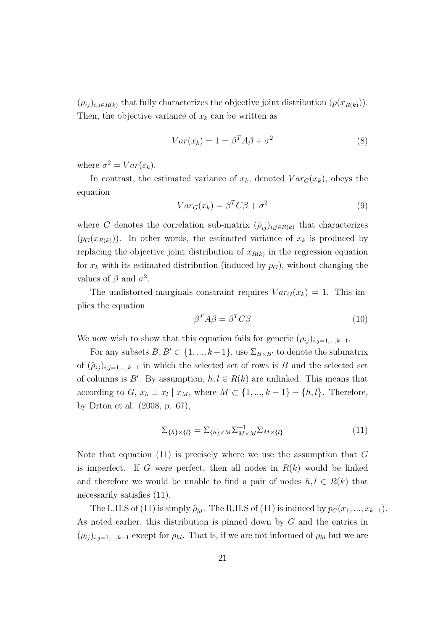$(\rho_{ij})_{i,j\in R(k)}$  that fully characterizes the objective joint distribution  $(p(x_{R(k)}))$ . Then, the objective variance of  $x_k$  can be written as

$$
Var(x_k) = 1 = \beta^T A \beta + \sigma^2 \tag{8}
$$

where  $\sigma^2 = Var(\varepsilon_k)$ .

In contrast, the estimated variance of  $x_k$ , denoted  $Var_G(x_k)$ , obeys the equation

$$
Var_G(x_k) = \beta^T C \beta + \sigma^2 \tag{9}
$$

where C denotes the correlation sub-matrix  $(\hat{\rho}_{ij})_{i,j\in R(k)}$  that characterizes  $(p_G(x_{R(k)}))$ . In other words, the estimated variance of  $x_k$  is produced by replacing the objective joint distribution of  $x_{R(k)}$  in the regression equation for  $x_k$  with its estimated distribution (induced by  $p_G$ ), without changing the values of  $\beta$  and  $\sigma^2$ .

The undistorted-marginals constraint requires  $Var_G(x_k) = 1$ . This implies the equation

$$
\beta^T A \beta = \beta^T C \beta \tag{10}
$$

We now wish to show that this equation fails for generic  $(\rho_{ij})_{i,j=1,\dots,k-1}$ .

For any subsets  $B, B' \subset \{1, ..., k-1\}$ , use  $\Sigma_{B \times B'}$  to denote the submatrix of  $(\hat{\rho}_{ij})_{i,j=1,\dots,k-1}$  in which the selected set of rows is B and the selected set of columns is B'. By assumption,  $h, l \in R(k)$  are unlinked. This means that according to  $G, x_h \perp x_l | x_M$ , where  $M \subset \{1, ..., k-1\} - \{h, l\}$ . Therefore, by Drton et al. (2008, p. 67),

$$
\Sigma_{\{h\}\times\{l\}} = \Sigma_{\{h\}\times M} \Sigma_{M\times M}^{-1} \Sigma_{M\times\{l\}} \tag{11}
$$

Note that equation (11) is precisely where we use the assumption that  $G$ is imperfect. If G were perfect, then all nodes in  $R(k)$  would be linked and therefore we would be unable to find a pair of nodes  $h, l \in R(k)$  that necessarily satisfies (11).

The L.H.S of (11) is simply  $\rho_{hl}$ . The R.H.S of (11) is induced by  $p_G(x_1, ..., x_{k-1})$ . As noted earlier, this distribution is pinned down by G and the entries in  $(\rho_{ij})_{i,j=1,\dots,k-1}$  except for  $\rho_{hl}$ . That is, if we are not informed of  $\rho_{hl}$  but we are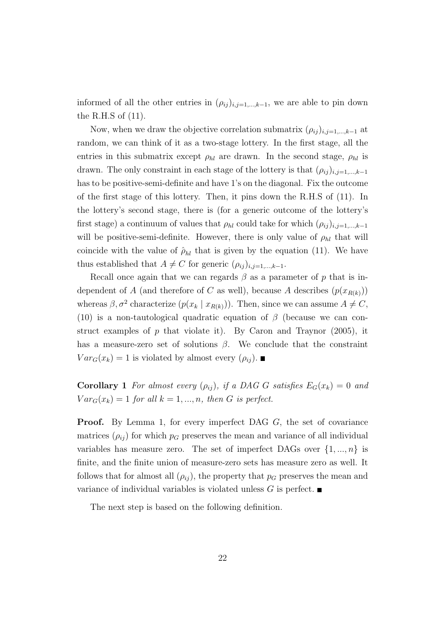informed of all the other entries in  $(\rho_{ij})_{i,j=1,\dots,k-1}$ , we are able to pin down the R.H.S of (11).

Now, when we draw the objective correlation submatrix  $(\rho_{ij})_{i,j=1,\dots,k-1}$  at random, we can think of it as a two-stage lottery. In the first stage, all the entries in this submatrix except  $\rho_{hl}$  are drawn. In the second stage,  $\rho_{hl}$  is drawn. The only constraint in each stage of the lottery is that  $(\rho_{ij})_{i,j=1,\dots,k-1}$ has to be positive-semi-definite and have 1's on the diagonal. Fix the outcome of the first stage of this lottery. Then, it pins down the R.H.S of (11). In the lottery's second stage, there is (for a generic outcome of the lottery's first stage) a continuum of values that  $\rho_{hl}$  could take for which  $(\rho_{ij})_{i,j=1,\dots,k-1}$ will be positive-semi-definite. However, there is only value of  $\rho_{hl}$  that will coincide with the value of  $\rho_{hl}$  that is given by the equation (11). We have thus established that  $A \neq C$  for generic  $(\rho_{ij})_{i,j=1,\dots,k-1}$ .

Recall once again that we can regards  $\beta$  as a parameter of p that is independent of A (and therefore of C as well), because A describes  $(p(x_{R(k)}))$ whereas  $\beta$ ,  $\sigma^2$  characterize  $(p(x_k | x_{R(k)}))$ . Then, since we can assume  $A \neq C$ , (10) is a non-tautological quadratic equation of  $\beta$  (because we can construct examples of  $p$  that violate it). By Caron and Traynor (2005), it has a measure-zero set of solutions  $\beta$ . We conclude that the constraint  $Var_G(x_k) = 1$  is violated by almost every  $(\rho_{ij})$ .

Corollary 1 For almost every  $(\rho_{ij})$ , if a DAG G satisfies  $E_G(x_k) = 0$  and  $Var_G(x_k) = 1$  for all  $k = 1, ..., n$ , then G is perfect.

**Proof.** By Lemma 1, for every imperfect DAG  $G$ , the set of covariance matrices  $(\rho_{ij})$  for which  $p_G$  preserves the mean and variance of all individual variables has measure zero. The set of imperfect DAGs over  $\{1, ..., n\}$  is finite, and the finite union of measure-zero sets has measure zero as well. It follows that for almost all  $(\rho_{ij})$ , the property that  $p_G$  preserves the mean and variance of individual variables is violated unless  $G$  is perfect.

The next step is based on the following definition.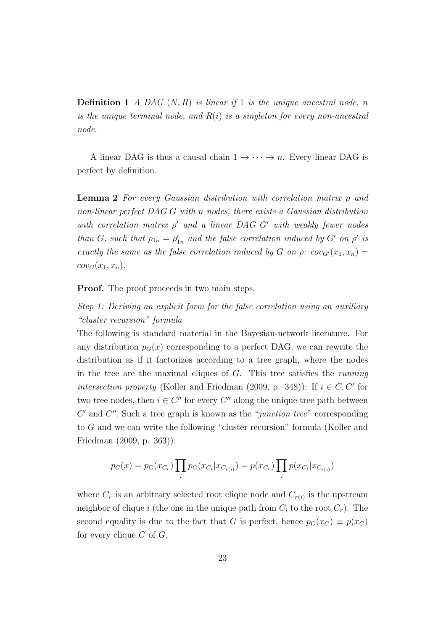**Definition 1** A DAG  $(N, R)$  is linear if 1 is the unique ancestral node, n is the unique terminal node, and  $R(i)$  is a singleton for every non-ancestral node.

A linear DAG is thus a causal chain  $1 \rightarrow \cdots \rightarrow n$ . Every linear DAG is perfect by definition.

**Lemma 2** For every Gaussian distribution with correlation matrix  $\rho$  and non-linear perfect DAG G with n nodes, there exists a Gaussian distribution with correlation matrix  $\rho'$  and a linear DAG G' with weakly fewer nodes than G, such that  $\rho_{1n} = \rho'_{1n}$  and the false correlation induced by G' on  $\rho'$  is exactly the same as the false correlation induced by G on  $\rho$ : cov<sub>G'</sub>(x<sub>1</sub>, x<sub>n</sub>) =  $cov_G(x_1, x_n).$ 

**Proof.** The proof proceeds in two main steps.

Step 1: Deriving an explicit form for the false correlation using an auxiliary "cluster recursion" formula

The following is standard material in the Bayesian-network literature. For any distribution  $p_G(x)$  corresponding to a perfect DAG, we can rewrite the distribution as if it factorizes according to a tree graph, where the nodes in the tree are the maximal cliques of  $G$ . This tree satisfies the *running* intersection property (Koller and Friedman (2009, p. 348)): If  $i \in C, C'$  for two tree nodes, then  $i \in C''$  for every  $C''$  along the unique tree path between  $C'$  and  $C''$ . Such a tree graph is known as the "junction tree" corresponding to G and we can write the following "cluster recursion" formula (Koller and Friedman (2009, p. 363)):

$$
p_G(x) = p_G(x_{C_r}) \prod_i p_G(x_{C_i}|x_{C_{r(i)}}) = p(x_{C_r}) \prod_i p(x_{C_i}|x_{C_{r(i)}})
$$

where  $C_r$  is an arbitrary selected root clique node and  $C_{r(i)}$  is the upstream neighbor of clique i (the one in the unique path from  $C_i$  to the root  $C_r$ ). The second equality is due to the fact that G is perfect, hence  $p_G(x_C) \equiv p(x_C)$ for every clique  $C$  of  $G$ .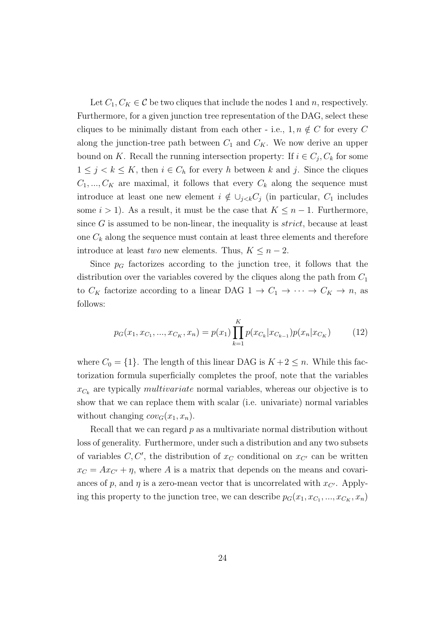Let  $C_1, C_K \in \mathcal{C}$  be two cliques that include the nodes 1 and n, respectively. Furthermore, for a given junction tree representation of the DAG, select these cliques to be minimally distant from each other - i.e.,  $1, n \notin C$  for every C along the junction-tree path between  $C_1$  and  $C_K$ . We now derive an upper bound on K. Recall the running intersection property: If  $i \in C_j, C_k$  for some  $1 \leq j < k \leq K$ , then  $i \in C_h$  for every h between k and j. Since the cliques  $C_1, ..., C_K$  are maximal, it follows that every  $C_k$  along the sequence must introduce at least one new element  $i \notin \bigcup_{j \leq k} C_j$  (in particular,  $C_1$  includes some  $i > 1$ ). As a result, it must be the case that  $K \leq n-1$ . Furthermore, since  $G$  is assumed to be non-linear, the inequality is  $strict$ , because at least one  $C_k$  along the sequence must contain at least three elements and therefore introduce at least two new elements. Thus,  $K \leq n-2$ .

Since  $p<sub>G</sub>$  factorizes according to the junction tree, it follows that the distribution over the variables covered by the cliques along the path from  $C_1$ to  $C_K$  factorize according to a linear DAG  $1 \to C_1 \to \cdots \to C_K \to n$ , as follows:

$$
p_G(x_1, x_{C_1}, ..., x_{C_K}, x_n) = p(x_1) \prod_{k=1}^K p(x_{C_k} | x_{C_{k-1}}) p(x_n | x_{C_K})
$$
(12)

where  $C_0 = \{1\}$ . The length of this linear DAG is  $K + 2 \leq n$ . While this factorization formula superficially completes the proof, note that the variables  $x_{C_k}$  are typically *multivariate* normal variables, whereas our objective is to show that we can replace them with scalar (i.e. univariate) normal variables without changing  $cov_G(x_1, x_n)$ .

Recall that we can regard  $p$  as a multivariate normal distribution without loss of generality. Furthermore, under such a distribution and any two subsets of variables  $C, C'$ , the distribution of  $x_C$  conditional on  $x_{C'}$  can be written  $x_C = Ax_{C'} + \eta$ , where A is a matrix that depends on the means and covariances of p, and  $\eta$  is a zero-mean vector that is uncorrelated with  $x_{C'}$ . Applying this property to the junction tree, we can describe  $p_G(x_1, x_{C_1}, ..., x_{C_K}, x_n)$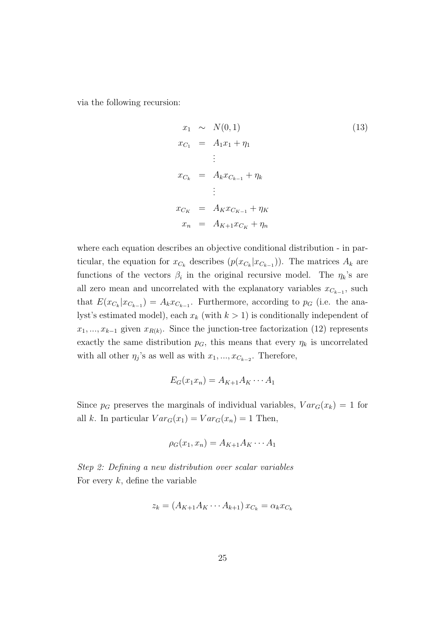via the following recursion:

$$
x_1 \sim N(0, 1)
$$
\n
$$
x_{C_1} = A_1 x_1 + \eta_1
$$
\n
$$
\vdots
$$
\n
$$
x_{C_k} = A_k x_{C_{k-1}} + \eta_k
$$
\n
$$
\vdots
$$
\n
$$
x_{C_K} = A_K x_{C_{K-1}} + \eta_K
$$
\n
$$
x_n = A_{K+1} x_{C_K} + \eta_n
$$
\n(13)

where each equation describes an objective conditional distribution - in particular, the equation for  $x_{C_k}$  describes  $(p(x_{C_k}|x_{C_{k-1}}))$ . The matrices  $A_k$  are functions of the vectors  $\beta_i$  in the original recursive model. The  $\eta_k$ 's are all zero mean and uncorrelated with the explanatory variables  $x_{C_{k-1}}$ , such that  $E(x_{C_k}|x_{C_{k-1}}) = A_k x_{C_{k-1}}$ . Furthermore, according to  $p_G$  (i.e. the analyst's estimated model), each  $x_k$  (with  $k > 1$ ) is conditionally independent of  $x_1, \ldots, x_{k-1}$  given  $x_{R(k)}$ . Since the junction-tree factorization (12) represents exactly the same distribution  $p<sub>G</sub>$ , this means that every  $\eta<sub>k</sub>$  is uncorrelated with all other  $\eta_j$ 's as well as with  $x_1, ..., x_{C_{k-2}}$ . Therefore,

$$
E_G(x_1x_n) = A_{K+1}A_K \cdots A_1
$$

Since  $p_G$  preserves the marginals of individual variables,  $Var_G(x_k) = 1$  for all k. In particular  $Var_G(x_1) = Var_G(x_n) = 1$  Then,

$$
\rho_G(x_1, x_n) = A_{K+1} A_K \cdots A_1
$$

Step 2: Defining a new distribution over scalar variables For every  $k$ , define the variable

$$
z_k = (A_{K+1}A_K \cdots A_{k+1}) x_{C_k} = \alpha_k x_{C_k}
$$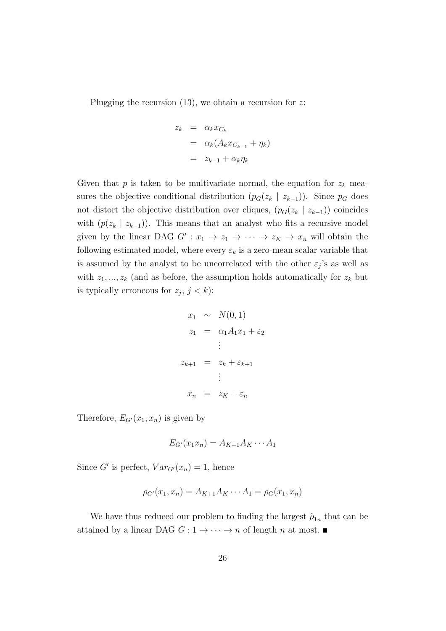Plugging the recursion  $(13)$ , we obtain a recursion for z:

$$
z_k = \alpha_k x_{C_k}
$$
  
=  $\alpha_k (A_k x_{C_{k-1}} + \eta_k)$   
=  $z_{k-1} + \alpha_k \eta_k$ 

Given that  $p$  is taken to be multivariate normal, the equation for  $z_k$  measures the objective conditional distribution  $(p_G(z_k \mid z_{k-1}))$ . Since  $p_G$  does not distort the objective distribution over cliques,  $(p_G(z_k \mid z_{k-1}))$  coincides with  $(p(z_k \mid z_{k-1}))$ . This means that an analyst who fits a recursive model given by the linear DAG  $G': x_1 \to z_1 \to \cdots \to z_K \to x_n$  will obtain the following estimated model, where every  $\varepsilon_k$  is a zero-mean scalar variable that is assumed by the analyst to be uncorrelated with the other  $\varepsilon_j$ 's as well as with  $z_1, ..., z_k$  (and as before, the assumption holds automatically for  $z_k$  but is typically erroneous for  $z_j$ ,  $j < k$ ):

$$
x_1 \sim N(0, 1)
$$
  
\n
$$
z_1 = \alpha_1 A_1 x_1 + \varepsilon_2
$$
  
\n
$$
\vdots
$$
  
\n
$$
z_{k+1} = z_k + \varepsilon_{k+1}
$$
  
\n
$$
\vdots
$$
  
\n
$$
x_n = z_K + \varepsilon_n
$$

Therefore,  $E_{G'}(x_1, x_n)$  is given by

$$
E_{G'}(x_1x_n) = A_{K+1}A_K \cdots A_1
$$

Since G' is perfect,  $Var_{G}(x_n) = 1$ , hence

$$
\rho_{G'}(x_1, x_n) = A_{K+1}A_K \cdots A_1 = \rho_G(x_1, x_n)
$$

We have thus reduced our problem to finding the largest  $\hat{\rho}_{1n}$  that can be attained by a linear DAG  $G: 1 \rightarrow \cdots \rightarrow n$  of length n at most.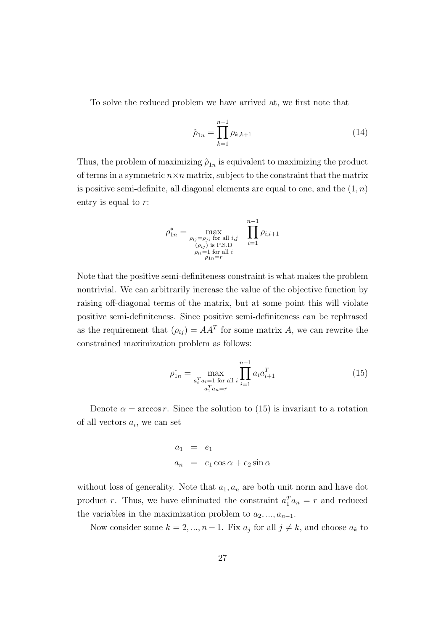To solve the reduced problem we have arrived at, we first note that

$$
\hat{\rho}_{1n} = \prod_{k=1}^{n-1} \rho_{k,k+1} \tag{14}
$$

Thus, the problem of maximizing  $\hat{\rho}_{1n}$  is equivalent to maximizing the product of terms in a symmetric  $n \times n$  matrix, subject to the constraint that the matrix is positive semi-definite, all diagonal elements are equal to one, and the  $(1, n)$ entry is equal to r:

$$
\rho_{1n}^* = \max_{\substack{\rho_{ij} = \rho_{ji} \text{ for all } i,j \\ (\rho_{ij}) \text{ is P.S.D} \\ \rho_{ii} = 1 \text{ for all } i \\ \rho_{1n} = r}} \prod_{i=1}^{n-1} \rho_{i,i+1}
$$

Note that the positive semi-definiteness constraint is what makes the problem nontrivial. We can arbitrarily increase the value of the objective function by raising off-diagonal terms of the matrix, but at some point this will violate positive semi-definiteness. Since positive semi-definiteness can be rephrased as the requirement that  $(\rho_{ij}) = AA^T$  for some matrix A, we can rewrite the constrained maximization problem as follows:

$$
\rho_{1n}^* = \max_{\substack{a_i^T a_i = 1 \text{ for all } i}} \prod_{i=1}^{n-1} a_i a_{i+1}^T
$$
\n
$$
(15)
$$

Denote  $\alpha = \arccos r$ . Since the solution to (15) is invariant to a rotation of all vectors  $a_i$ , we can set

$$
a_1 = e_1
$$
  

$$
a_n = e_1 \cos \alpha + e_2 \sin \alpha
$$

without loss of generality. Note that  $a_1, a_n$  are both unit norm and have dot product r. Thus, we have eliminated the constraint  $a_1^T a_n = r$  and reduced the variables in the maximization problem to  $a_2, ..., a_{n-1}$ .

Now consider some  $k = 2, ..., n - 1$ . Fix  $a_j$  for all  $j \neq k$ , and choose  $a_k$  to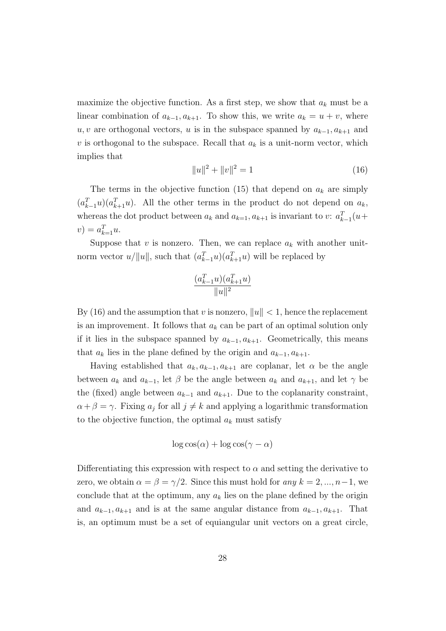maximize the objective function. As a first step, we show that  $a_k$  must be a linear combination of  $a_{k-1}, a_{k+1}$ . To show this, we write  $a_k = u + v$ , where u, v are orthogonal vectors, u is in the subspace spanned by  $a_{k-1}, a_{k+1}$  and v is orthogonal to the subspace. Recall that  $a_k$  is a unit-norm vector, which implies that

$$
||u||^2 + ||v||^2 = 1
$$
\n(16)

The terms in the objective function (15) that depend on  $a_k$  are simply  $(a_{k-1}^T u)(a_{k+1}^T u)$ . All the other terms in the product do not depend on  $a_k$ , whereas the dot product between  $a_k$  and  $a_{k=1}, a_{k+1}$  is invariant to v:  $a_{k-1}^T(u+)$  $v) = a_{k=1}^{T} u.$ 

Suppose that  $v$  is nonzero. Then, we can replace  $a_k$  with another unitnorm vector  $u/||u||$ , such that  $(a_{k-1}^T u)(a_{k+1}^T u)$  will be replaced by

$$
\frac{(a_{k-1}^T u)(a_{k+1}^T u)}{\|u\|^2}
$$

By (16) and the assumption that v is nonzero,  $||u|| < 1$ , hence the replacement is an improvement. It follows that  $a_k$  can be part of an optimal solution only if it lies in the subspace spanned by  $a_{k-1}, a_{k+1}$ . Geometrically, this means that  $a_k$  lies in the plane defined by the origin and  $a_{k-1}, a_{k+1}$ .

Having established that  $a_k, a_{k-1}, a_{k+1}$  are coplanar, let  $\alpha$  be the angle between  $a_k$  and  $a_{k-1}$ , let  $\beta$  be the angle between  $a_k$  and  $a_{k+1}$ , and let  $\gamma$  be the (fixed) angle between  $a_{k-1}$  and  $a_{k+1}$ . Due to the coplanarity constraint,  $\alpha + \beta = \gamma$ . Fixing  $a_j$  for all  $j \neq k$  and applying a logarithmic transformation to the objective function, the optimal  $a_k$  must satisfy

$$
\log \cos(\alpha) + \log \cos(\gamma - \alpha)
$$

Differentiating this expression with respect to  $\alpha$  and setting the derivative to zero, we obtain  $\alpha = \beta = \gamma/2$ . Since this must hold for any  $k = 2, ..., n-1$ , we conclude that at the optimum, any  $a_k$  lies on the plane defined by the origin and  $a_{k-1}, a_{k+1}$  and is at the same angular distance from  $a_{k-1}, a_{k+1}$ . That is, an optimum must be a set of equiangular unit vectors on a great circle,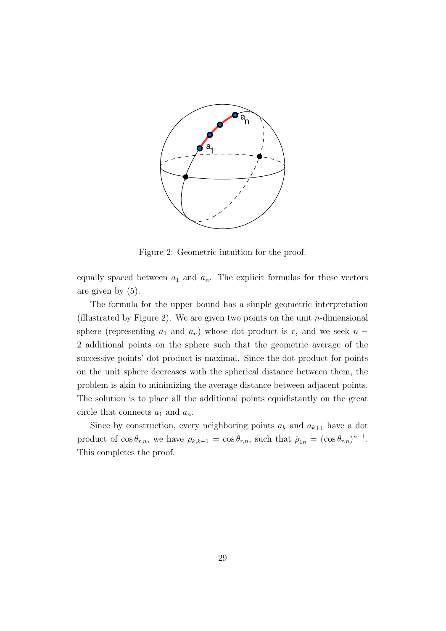

Figure 2: Geometric intuition for the proof.

equally spaced between  $a_1$  and  $a_n$ . The explicit formulas for these vectors are given by (5).

The formula for the upper bound has a simple geometric interpretation (illustrated by Figure 2). We are given two points on the unit  $n$ -dimensional sphere (representing  $a_1$  and  $a_n$ ) whose dot product is r, and we seek  $n -$ 2 additional points on the sphere such that the geometric average of the successive points' dot product is maximal. Since the dot product for points on the unit sphere decreases with the spherical distance between them, the problem is akin to minimizing the average distance between adjacent points. The solution is to place all the additional points equidistantly on the great circle that connects  $a_1$  and  $a_n$ .

Since by construction, every neighboring points  $a_k$  and  $a_{k+1}$  have a dot product of  $\cos \theta_{r,n}$ , we have  $\rho_{k,k+1} = \cos \theta_{r,n}$ , such that  $\hat{\rho}_{1n} = (\cos \theta_{r,n})^{n-1}$ . This completes the proof.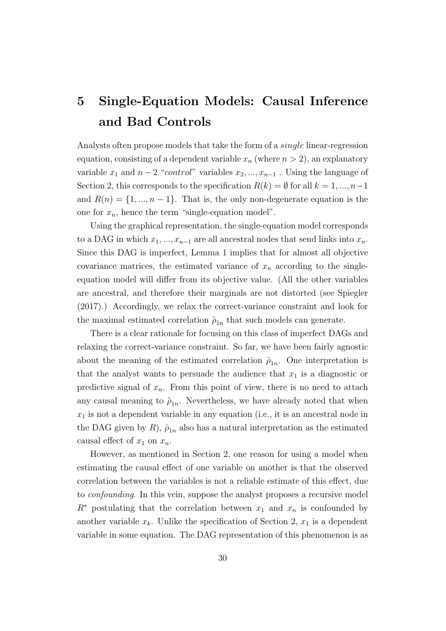# 5 Single-Equation Models: Causal Inference and Bad Controls

Analysts often propose models that take the form of a single linear-regression equation, consisting of a dependent variable  $x_n$  (where  $n > 2$ ), an explanatory variable  $x_1$  and  $n-2$  "*control*" variables  $x_2, ..., x_{n-1}$ . Using the language of Section 2, this corresponds to the specification  $R(k) = \emptyset$  for all  $k = 1, ..., n-1$ and  $R(n) = \{1, ..., n-1\}$ . That is, the only non-degenerate equation is the one for  $x_n$ , hence the term "single-equation model".

Using the graphical representation, the single-equation model corresponds to a DAG in which  $x_1, ..., x_{n-1}$  are all ancestral nodes that send links into  $x_n$ . Since this DAG is imperfect, Lemma 1 implies that for almost all objective covariance matrices, the estimated variance of  $x_n$  according to the singleequation model will differ from its objective value. (All the other variables are ancestral, and therefore their marginals are not distorted (see Spiegler (2017).) Accordingly, we relax the correct-variance constraint and look for the maximal estimated correlation  $\hat{\rho}_{1n}$  that such models can generate.

There is a clear rationale for focusing on this class of imperfect DAGs and relaxing the correct-variance constraint. So far, we have been fairly agnostic about the meaning of the estimated correlation  $\hat{\rho}_{1n}$ . One interpretation is that the analyst wants to persuade the audience that  $x_1$  is a diagnostic or predictive signal of  $x_n$ . From this point of view, there is no need to attach any causal meaning to  $\hat{\rho}_{1n}$ . Nevertheless, we have already noted that when  $x_1$  is not a dependent variable in any equation (i.e., it is an ancestral node in the DAG given by R),  $\hat{\rho}_{1n}$  also has a natural interpretation as the estimated causal effect of  $x_1$  on  $x_n$ .

However, as mentioned in Section 2, one reason for using a model when estimating the causal effect of one variable on another is that the observed correlation between the variables is not a reliable estimate of this effect, due to confounding. In this vein, suppose the analyst proposes a recursive model  $R^*$  postulating that the correlation between  $x_1$  and  $x_n$  is confounded by another variable  $x_k$ . Unlike the specification of Section 2,  $x_1$  is a dependent variable in some equation. The DAG representation of this phenomenon is as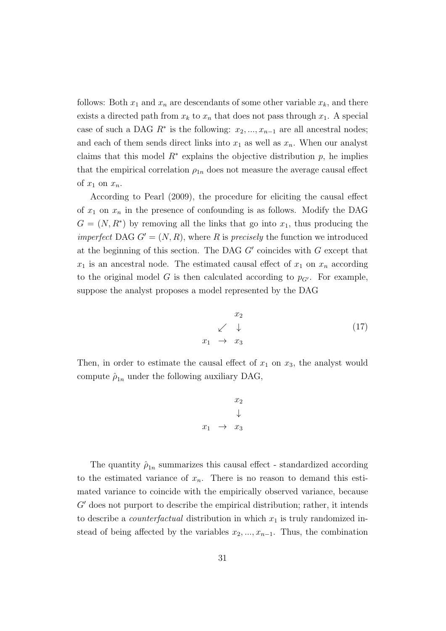follows: Both  $x_1$  and  $x_n$  are descendants of some other variable  $x_k$ , and there exists a directed path from  $x_k$  to  $x_n$  that does not pass through  $x_1$ . A special case of such a DAG  $R^*$  is the following:  $x_2, ..., x_{n-1}$  are all ancestral nodes; and each of them sends direct links into  $x_1$  as well as  $x_n$ . When our analyst claims that this model  $R^*$  explains the objective distribution  $p$ , he implies that the empirical correlation  $\rho_{1n}$  does not measure the average causal effect of  $x_1$  on  $x_n$ .

According to Pearl (2009), the procedure for eliciting the causal effect of  $x_1$  on  $x_n$  in the presence of confounding is as follows. Modify the DAG  $G = (N, R^*)$  by removing all the links that go into  $x_1$ , thus producing the *imperfect* DAG  $G' = (N, R)$ , where R is precisely the function we introduced at the beginning of this section. The DAG  $G'$  coincides with  $G$  except that  $x_1$  is an ancestral node. The estimated causal effect of  $x_1$  on  $x_n$  according to the original model G is then calculated according to  $p_{G'}$ . For example, suppose the analyst proposes a model represented by the DAG

$$
\begin{array}{ccc}\nx_2 \\
\swarrow & \downarrow \\
x_1 & \to & x_3\n\end{array} (17)
$$

Then, in order to estimate the causal effect of  $x_1$  on  $x_3$ , the analyst would compute  $\hat{\rho}_{1n}$  under the following auxiliary DAG,

$$
\begin{array}{ccc}\nx_2 \\
\downarrow \\
x_1 & \to & x_3\n\end{array}
$$

The quantity  $\hat{\rho}_{1n}$  summarizes this causal effect - standardized according to the estimated variance of  $x_n$ . There is no reason to demand this estimated variance to coincide with the empirically observed variance, because  $G'$  does not purport to describe the empirical distribution; rather, it intends to describe a *counterfactual* distribution in which  $x_1$  is truly randomized instead of being affected by the variables  $x_2, \ldots, x_{n-1}$ . Thus, the combination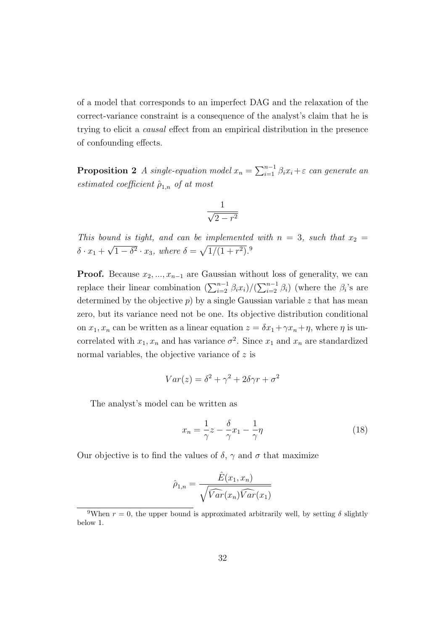of a model that corresponds to an imperfect DAG and the relaxation of the correct-variance constraint is a consequence of the analyst's claim that he is trying to elicit a causal effect from an empirical distribution in the presence of confounding effects.

**Proposition 2** A single-equation model  $x_n = \sum_{i=1}^{n-1} \beta_i x_i + \varepsilon$  can generate an estimated coefficient  $\hat{\rho}_{1,n}$  of at most

$$
\frac{1}{\sqrt{2-r^2}}
$$

This bound is tight, and can be implemented with  $n = 3$ , such that  $x_2 =$  $\delta \cdot x_1 +$ √  $\overline{1-\delta^2} \cdot x_3$ , where  $\delta = \sqrt{1/(1+r^2)}$ .<sup>9</sup>

**Proof.** Because  $x_2, ..., x_{n-1}$  are Gaussian without loss of generality, we can replace their linear combination  $(\sum_{i=2}^{n-1} \beta_i x_i)/(\sum_{i=2}^{n-1} \beta_i)$  (where the  $\beta_i$ 's are determined by the objective  $p$ ) by a single Gaussian variable  $z$  that has mean zero, but its variance need not be one. Its objective distribution conditional on  $x_1, x_n$  can be written as a linear equation  $z = \delta x_1 + \gamma x_n + \eta$ , where  $\eta$  is uncorrelated with  $x_1, x_n$  and has variance  $\sigma^2$ . Since  $x_1$  and  $x_n$  are standardized normal variables, the objective variance of  $z$  is

$$
Var(z) = \delta^2 + \gamma^2 + 2\delta\gamma r + \sigma^2
$$

The analyst's model can be written as

$$
x_n = \frac{1}{\gamma}z - \frac{\delta}{\gamma}x_1 - \frac{1}{\gamma}\eta\tag{18}
$$

Our objective is to find the values of  $\delta$ ,  $\gamma$  and  $\sigma$  that maximize

$$
\hat{\rho}_{1,n} = \frac{\hat{E}(x_1, x_n)}{\sqrt{\widehat{Var}(x_n)\widehat{Var}(x_1)}}
$$

<sup>&</sup>lt;sup>9</sup>When  $r = 0$ , the upper bound is approximated arbitrarily well, by setting  $\delta$  slightly below 1.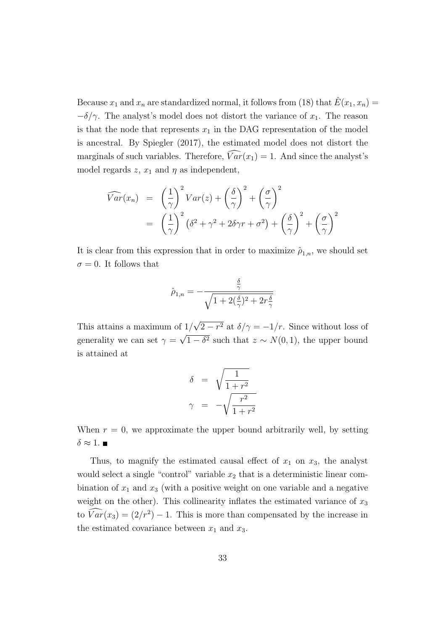Because  $x_1$  and  $x_n$  are standardized normal, it follows from (18) that  $E(x_1, x_n) =$  $-\delta/\gamma$ . The analyst's model does not distort the variance of  $x_1$ . The reason is that the node that represents  $x_1$  in the DAG representation of the model is ancestral. By Spiegler (2017), the estimated model does not distort the marginals of such variables. Therefore,  $\widehat{Var}(x_1) = 1$ . And since the analyst's model regards  $z$ ,  $x_1$  and  $\eta$  as independent,

$$
\widehat{Var}(x_n) = \left(\frac{1}{\gamma}\right)^2 Var(z) + \left(\frac{\delta}{\gamma}\right)^2 + \left(\frac{\sigma}{\gamma}\right)^2
$$
  
=  $\left(\frac{1}{\gamma}\right)^2 (\delta^2 + \gamma^2 + 2\delta\gamma r + \sigma^2) + \left(\frac{\delta}{\gamma}\right)^2 + \left(\frac{\sigma}{\gamma}\right)^2$ 

It is clear from this expression that in order to maximize  $\hat{\rho}_{1,n}$ , we should set  $\sigma = 0$ . It follows that

$$
\hat{\rho}_{1,n}=-\frac{\frac{\delta}{\gamma}}{\sqrt{1+2(\frac{\delta}{\gamma})^2+2r\frac{\delta}{\gamma}}}
$$

This attains a maximum of 1/ √  $2-r^2$  at  $\delta/\gamma=-1/r$ . Since without loss of generality we can set  $\gamma =$ √  $1 - \delta^2$  such that  $z \sim N(0, 1)$ , the upper bound is attained at

$$
\delta = \sqrt{\frac{1}{1+r^2}}
$$

$$
\gamma = -\sqrt{\frac{r^2}{1+r^2}}
$$

When  $r = 0$ , we approximate the upper bound arbitrarily well, by setting  $\delta \approx 1$ .

Thus, to magnify the estimated causal effect of  $x_1$  on  $x_3$ , the analyst would select a single "control" variable  $x_2$  that is a deterministic linear combination of  $x_1$  and  $x_3$  (with a positive weight on one variable and a negative weight on the other). This collinearity inflates the estimated variance of  $x_3$ to  $\overline{Var}(x_3) = (2/r^2) - 1$ . This is more than compensated by the increase in the estimated covariance between  $x_1$  and  $x_3$ .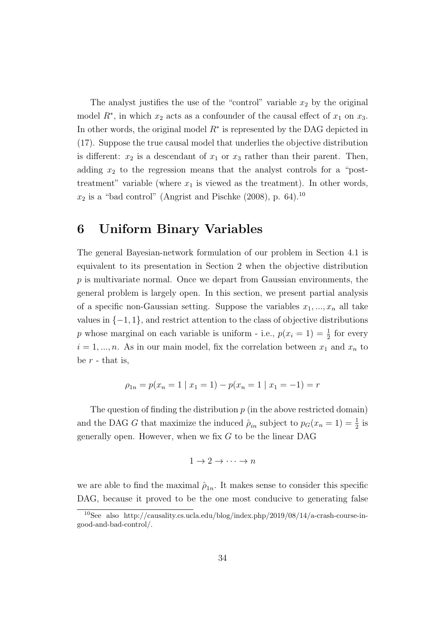The analyst justifies the use of the "control" variable  $x_2$  by the original model  $R^*$ , in which  $x_2$  acts as a confounder of the causal effect of  $x_1$  on  $x_3$ . In other words, the original model  $R^*$  is represented by the DAG depicted in (17). Suppose the true causal model that underlies the objective distribution is different:  $x_2$  is a descendant of  $x_1$  or  $x_3$  rather than their parent. Then, adding  $x_2$  to the regression means that the analyst controls for a "posttreatment" variable (where  $x_1$  is viewed as the treatment). In other words,  $x_2$  is a "bad control" (Angrist and Pischke (2008), p. 64).<sup>10</sup>

### 6 Uniform Binary Variables

The general Bayesian-network formulation of our problem in Section 4.1 is equivalent to its presentation in Section 2 when the objective distribution  $p$  is multivariate normal. Once we depart from Gaussian environments, the general problem is largely open. In this section, we present partial analysis of a specific non-Gaussian setting. Suppose the variables  $x_1, ..., x_n$  all take values in  $\{-1, 1\}$ , and restrict attention to the class of objective distributions p whose marginal on each variable is uniform - i.e.,  $p(x_i = 1) = \frac{1}{2}$  for every  $i = 1, \ldots, n$ . As in our main model, fix the correlation between  $x_1$  and  $x_n$  to be  $r$  - that is,

$$
\rho_{1n} = p(x_n = 1 | x_1 = 1) - p(x_n = 1 | x_1 = -1) = r
$$

The question of finding the distribution  $p$  (in the above restricted domain) and the DAG G that maximize the induced  $\hat{\rho}_{in}$  subject to  $p_G(x_n = 1) = \frac{1}{2}$  is generally open. However, when we fix  $G$  to be the linear DAG

$$
1\to 2\to \cdots \to n
$$

we are able to find the maximal  $\hat{\rho}_{1n}$ . It makes sense to consider this specific DAG, because it proved to be the one most conducive to generating false

<sup>10</sup>See also http://causality.cs.ucla.edu/blog/index.php/2019/08/14/a-crash-course-ingood-and-bad-control/.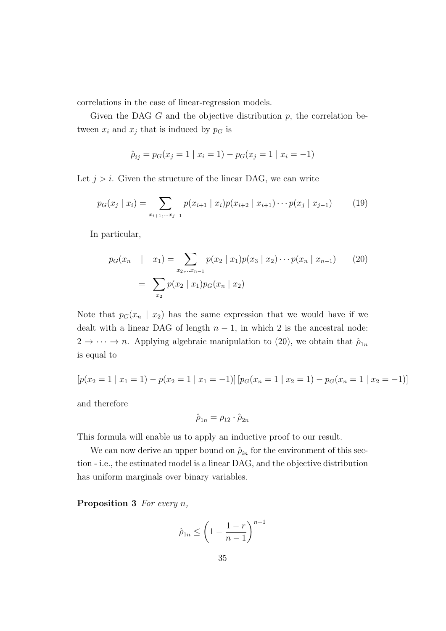correlations in the case of linear-regression models.

Given the DAG  $G$  and the objective distribution  $p$ , the correlation between  $x_i$  and  $x_j$  that is induced by  $p_G$  is

$$
\hat{p}_{ij} = p_G(x_j = 1 | x_i = 1) - p_G(x_j = 1 | x_i = -1)
$$

Let  $j > i$ . Given the structure of the linear DAG, we can write

$$
p_G(x_j \mid x_i) = \sum_{x_{i+1}, \dots, x_{j-1}} p(x_{i+1} \mid x_i) p(x_{i+2} \mid x_{i+1}) \cdots p(x_j \mid x_{j-1}) \tag{19}
$$

In particular,

$$
p_G(x_n \mid x_1) = \sum_{x_2, \dots x_{n-1}} p(x_2 \mid x_1) p(x_3 \mid x_2) \cdots p(x_n \mid x_{n-1}) \qquad (20)
$$

$$
= \sum_{x_2} p(x_2 \mid x_1) p_G(x_n \mid x_2)
$$

Note that  $p_G(x_n \mid x_2)$  has the same expression that we would have if we dealt with a linear DAG of length  $n - 1$ , in which 2 is the ancestral node:  $2 \to \cdots \to n$ . Applying algebraic manipulation to (20), we obtain that  $\hat{\rho}_{1n}$ is equal to

$$
[p(x_2 = 1 | x_1 = 1) - p(x_2 = 1 | x_1 = -1)] [p_G(x_n = 1 | x_2 = 1) - p_G(x_n = 1 | x_2 = -1)]
$$

and therefore

$$
\hat{\rho}_{1n} = \rho_{12} \cdot \hat{\rho}_{2n}
$$

This formula will enable us to apply an inductive proof to our result.

We can now derive an upper bound on  $\hat{\rho}_{in}$  for the environment of this section - i.e., the estimated model is a linear DAG, and the objective distribution has uniform marginals over binary variables.

**Proposition 3** For every  $n$ ,

$$
\hat{\rho}_{1n} \le \left(1 - \frac{1-r}{n-1}\right)^{n-1}
$$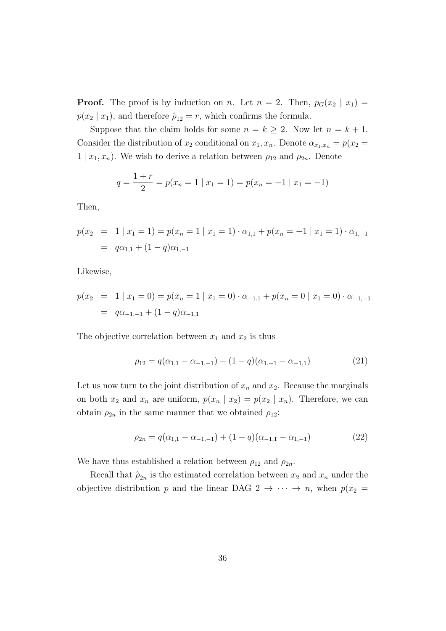**Proof.** The proof is by induction on n. Let  $n = 2$ . Then,  $p_G(x_2 | x_1) =$  $p(x_2 | x_1)$ , and therefore  $\hat{\rho}_{12} = r$ , which confirms the formula.

Suppose that the claim holds for some  $n = k \geq 2$ . Now let  $n = k + 1$ . Consider the distribution of  $x_2$  conditional on  $x_1, x_n$ . Denote  $\alpha_{x_1, x_n} = p(x_2 =$  $1 | x_1, x_n$ ). We wish to derive a relation between  $\rho_{12}$  and  $\rho_{2n}$ . Denote

$$
q = \frac{1+r}{2} = p(x_n = 1 | x_1 = 1) = p(x_n = -1 | x_1 = -1)
$$

Then,

$$
p(x_2 = 1 | x_1 = 1) = p(x_n = 1 | x_1 = 1) \cdot \alpha_{1,1} + p(x_n = -1 | x_1 = 1) \cdot \alpha_{1,-1}
$$
  
=  $q\alpha_{1,1} + (1-q)\alpha_{1,-1}$ 

Likewise,

$$
p(x_2 = 1 | x_1 = 0) = p(x_n = 1 | x_1 = 0) \cdot \alpha_{-1,1} + p(x_n = 0 | x_1 = 0) \cdot \alpha_{-1,-1}
$$
  
=  $q\alpha_{-1,-1} + (1-q)\alpha_{-1,1}$ 

The objective correlation between  $x_1$  and  $x_2$  is thus

$$
\rho_{12} = q(\alpha_{1,1} - \alpha_{-1,-1}) + (1-q)(\alpha_{1,-1} - \alpha_{-1,1}) \tag{21}
$$

Let us now turn to the joint distribution of  $x_n$  and  $x_2$ . Because the marginals on both  $x_2$  and  $x_n$  are uniform,  $p(x_n | x_2) = p(x_2 | x_n)$ . Therefore, we can obtain  $\rho_{2n}$  in the same manner that we obtained  $\rho_{12}$ :

$$
\rho_{2n} = q(\alpha_{1,1} - \alpha_{-1,-1}) + (1 - q)(\alpha_{-1,1} - \alpha_{1,-1}) \tag{22}
$$

We have thus established a relation between  $\rho_{12}$  and  $\rho_{2n}$ .

Recall that  $\hat{\rho}_{2n}$  is the estimated correlation between  $x_2$  and  $x_n$  under the objective distribution p and the linear DAG 2  $\rightarrow \cdots \rightarrow n$ , when  $p(x_2 =$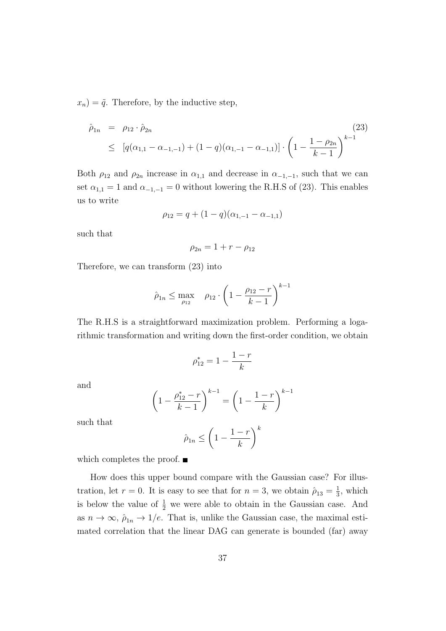$x_n$ ) =  $\tilde{q}$ . Therefore, by the inductive step,

$$
\hat{\rho}_{1n} = \rho_{12} \cdot \hat{\rho}_{2n} \tag{23}
$$
\n
$$
\leq [q(\alpha_{1,1} - \alpha_{-1,-1}) + (1-q)(\alpha_{1,-1} - \alpha_{-1,1})] \cdot \left(1 - \frac{1-\rho_{2n}}{k-1}\right)^{k-1}
$$

Both  $\rho_{12}$  and  $\rho_{2n}$  increase in  $\alpha_{1,1}$  and decrease in  $\alpha_{-1,-1}$ , such that we can set  $\alpha_{1,1} = 1$  and  $\alpha_{-1,-1} = 0$  without lowering the R.H.S of (23). This enables us to write

$$
\rho_{12} = q + (1 - q)(\alpha_{1,-1} - \alpha_{-1,1})
$$

such that

$$
\rho_{2n} = 1 + r - \rho_{12}
$$

Therefore, we can transform (23) into

$$
\hat{\rho}_{1n} \le \max_{\rho_{12}} \quad \rho_{12} \cdot \left(1 - \frac{\rho_{12} - r}{k - 1}\right)^{k - 1}
$$

The R.H.S is a straightforward maximization problem. Performing a logarithmic transformation and writing down the first-order condition, we obtain

$$
\rho_{12}^*=1-\frac{1-r}{k}
$$

and

$$
\left(1 - \frac{\rho_{12}^* - r}{k - 1}\right)^{k - 1} = \left(1 - \frac{1 - r}{k}\right)^{k - 1}
$$

such that

$$
\hat{\rho}_{1n} \le \left(1 - \frac{1-r}{k}\right)^k
$$

which completes the proof.

How does this upper bound compare with the Gaussian case? For illustration, let  $r = 0$ . It is easy to see that for  $n = 3$ , we obtain  $\hat{\rho}_{13} = \frac{1}{3}$  $\frac{1}{3}$ , which is below the value of  $\frac{1}{2}$  we were able to obtain in the Gaussian case. And as  $n \to \infty$ ,  $\hat{\rho}_{1n} \to 1/e$ . That is, unlike the Gaussian case, the maximal estimated correlation that the linear DAG can generate is bounded (far) away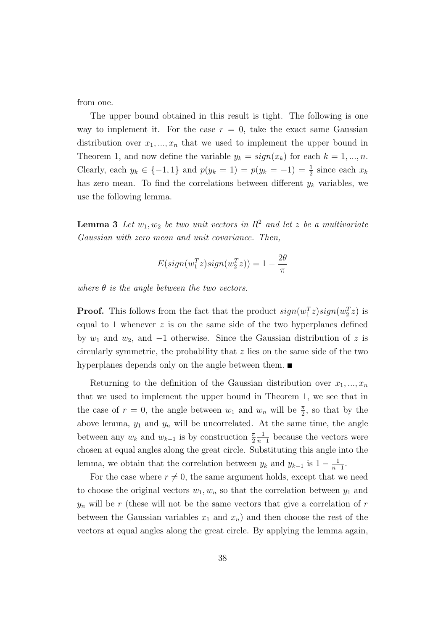from one.

The upper bound obtained in this result is tight. The following is one way to implement it. For the case  $r = 0$ , take the exact same Gaussian distribution over  $x_1, ..., x_n$  that we used to implement the upper bound in Theorem 1, and now define the variable  $y_k = sign(x_k)$  for each  $k = 1, ..., n$ . Clearly, each  $y_k \in \{-1, 1\}$  and  $p(y_k = 1) = p(y_k = -1) = \frac{1}{2}$  since each  $x_k$ has zero mean. To find the correlations between different  $y_k$  variables, we use the following lemma.

**Lemma 3** Let  $w_1, w_2$  be two unit vectors in  $\mathbb{R}^2$  and let z be a multivariate Gaussian with zero mean and unit covariance. Then,

$$
E(sign(w_1^T z) sign(w_2^T z)) = 1 - \frac{2\theta}{\pi}
$$

where  $\theta$  is the angle between the two vectors.

**Proof.** This follows from the fact that the product  $sign(w_1^T z) sign(w_2^T z)$  is equal to 1 whenever  $z$  is on the same side of the two hyperplanes defined by  $w_1$  and  $w_2$ , and  $-1$  otherwise. Since the Gaussian distribution of z is circularly symmetric, the probability that  $z$  lies on the same side of the two hyperplanes depends only on the angle between them.

Returning to the definition of the Gaussian distribution over  $x_1, ..., x_n$ that we used to implement the upper bound in Theorem 1, we see that in the case of  $r = 0$ , the angle between  $w_1$  and  $w_n$  will be  $\frac{\pi}{2}$ , so that by the above lemma,  $y_1$  and  $y_n$  will be uncorrelated. At the same time, the angle between any  $w_k$  and  $w_{k-1}$  is by construction  $\frac{\pi}{2}$ 1  $\frac{1}{n-1}$  because the vectors were chosen at equal angles along the great circle. Substituting this angle into the lemma, we obtain that the correlation between  $y_k$  and  $y_{k-1}$  is  $1-\frac{1}{n-1}$  $\frac{1}{n-1}$ .

For the case where  $r \neq 0$ , the same argument holds, except that we need to choose the original vectors  $w_1, w_n$  so that the correlation between  $y_1$  and  $y_n$  will be r (these will not be the same vectors that give a correlation of r between the Gaussian variables  $x_1$  and  $x_n$ ) and then choose the rest of the vectors at equal angles along the great circle. By applying the lemma again,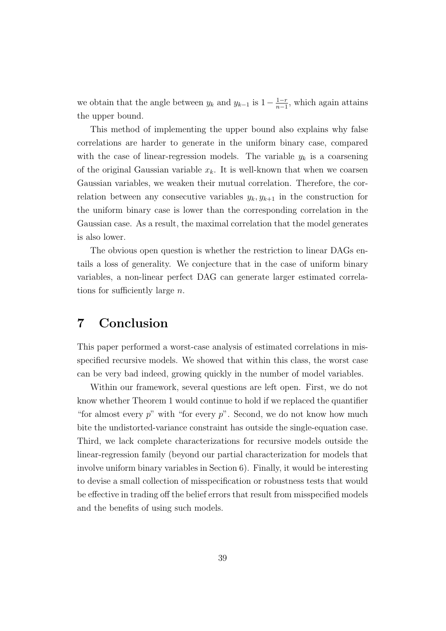we obtain that the angle between  $y_k$  and  $y_{k-1}$  is  $1-\frac{1-r}{n-1}$  $\frac{1-r}{n-1}$ , which again attains the upper bound.

This method of implementing the upper bound also explains why false correlations are harder to generate in the uniform binary case, compared with the case of linear-regression models. The variable  $y_k$  is a coarsening of the original Gaussian variable  $x_k$ . It is well-known that when we coarsen Gaussian variables, we weaken their mutual correlation. Therefore, the correlation between any consecutive variables  $y_k, y_{k+1}$  in the construction for the uniform binary case is lower than the corresponding correlation in the Gaussian case. As a result, the maximal correlation that the model generates is also lower.

The obvious open question is whether the restriction to linear DAGs entails a loss of generality. We conjecture that in the case of uniform binary variables, a non-linear perfect DAG can generate larger estimated correlations for sufficiently large  $n$ .

### 7 Conclusion

This paper performed a worst-case analysis of estimated correlations in misspecified recursive models. We showed that within this class, the worst case can be very bad indeed, growing quickly in the number of model variables.

Within our framework, several questions are left open. First, we do not know whether Theorem 1 would continue to hold if we replaced the quantifier "for almost every  $p$ " with "for every  $p$ ". Second, we do not know how much bite the undistorted-variance constraint has outside the single-equation case. Third, we lack complete characterizations for recursive models outside the linear-regression family (beyond our partial characterization for models that involve uniform binary variables in Section 6). Finally, it would be interesting to devise a small collection of misspecification or robustness tests that would be effective in trading off the belief errors that result from misspecified models and the benefits of using such models.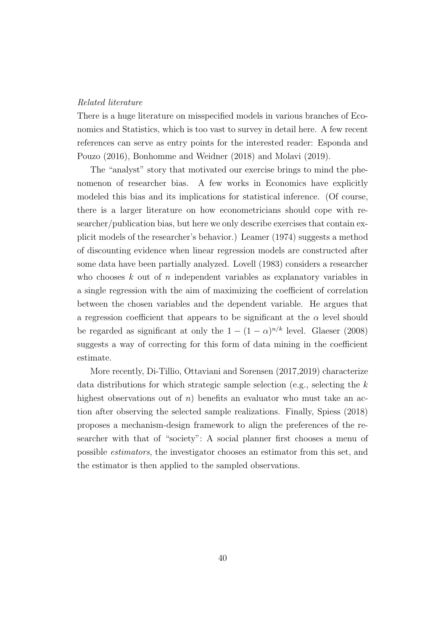#### Related literature

There is a huge literature on misspecified models in various branches of Economics and Statistics, which is too vast to survey in detail here. A few recent references can serve as entry points for the interested reader: Esponda and Pouzo (2016), Bonhomme and Weidner (2018) and Molavi (2019).

The "analyst" story that motivated our exercise brings to mind the phenomenon of researcher bias. A few works in Economics have explicitly modeled this bias and its implications for statistical inference. (Of course, there is a larger literature on how econometricians should cope with researcher/publication bias, but here we only describe exercises that contain explicit models of the researcher's behavior.) Leamer (1974) suggests a method of discounting evidence when linear regression models are constructed after some data have been partially analyzed. Lovell (1983) considers a researcher who chooses  $k$  out of  $n$  independent variables as explanatory variables in a single regression with the aim of maximizing the coefficient of correlation between the chosen variables and the dependent variable. He argues that a regression coefficient that appears to be significant at the  $\alpha$  level should be regarded as significant at only the  $1 - (1 - \alpha)^{n/k}$  level. Glaeser (2008) suggests a way of correcting for this form of data mining in the coefficient estimate.

More recently, Di-Tillio, Ottaviani and Sorensen (2017,2019) characterize data distributions for which strategic sample selection (e.g., selecting the k highest observations out of n) benefits an evaluator who must take an action after observing the selected sample realizations. Finally, Spiess (2018) proposes a mechanism-design framework to align the preferences of the researcher with that of "society": A social planner first chooses a menu of possible estimators, the investigator chooses an estimator from this set, and the estimator is then applied to the sampled observations.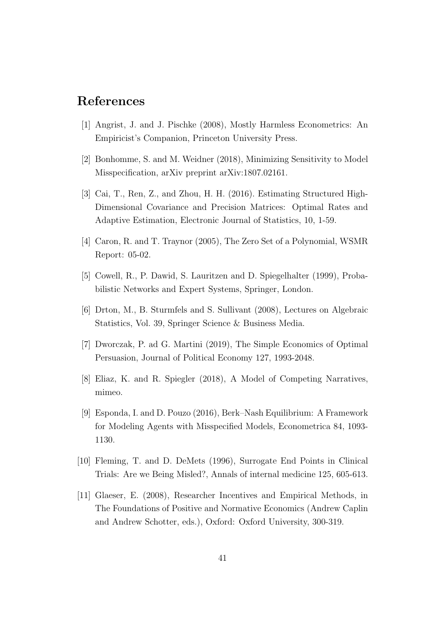# References

- [1] Angrist, J. and J. Pischke (2008), Mostly Harmless Econometrics: An Empiricist's Companion, Princeton University Press.
- [2] Bonhomme, S. and M. Weidner (2018), Minimizing Sensitivity to Model Misspecification, arXiv preprint arXiv:1807.02161.
- [3] Cai, T., Ren, Z., and Zhou, H. H. (2016). Estimating Structured High-Dimensional Covariance and Precision Matrices: Optimal Rates and Adaptive Estimation, Electronic Journal of Statistics, 10, 1-59.
- [4] Caron, R. and T. Traynor (2005), The Zero Set of a Polynomial, WSMR Report: 05-02.
- [5] Cowell, R., P. Dawid, S. Lauritzen and D. Spiegelhalter (1999), Probabilistic Networks and Expert Systems, Springer, London.
- [6] Drton, M., B. Sturmfels and S. Sullivant (2008), Lectures on Algebraic Statistics, Vol. 39, Springer Science & Business Media.
- [7] Dworczak, P. ad G. Martini (2019), The Simple Economics of Optimal Persuasion, Journal of Political Economy 127, 1993-2048.
- [8] Eliaz, K. and R. Spiegler (2018), A Model of Competing Narratives, mimeo.
- [9] Esponda, I. and D. Pouzo (2016), Berk–Nash Equilibrium: A Framework for Modeling Agents with Misspecified Models, Econometrica 84, 1093- 1130.
- [10] Fleming, T. and D. DeMets (1996), Surrogate End Points in Clinical Trials: Are we Being Misled?, Annals of internal medicine 125, 605-613.
- [11] Glaeser, E. (2008), Researcher Incentives and Empirical Methods, in The Foundations of Positive and Normative Economics (Andrew Caplin and Andrew Schotter, eds.), Oxford: Oxford University, 300-319.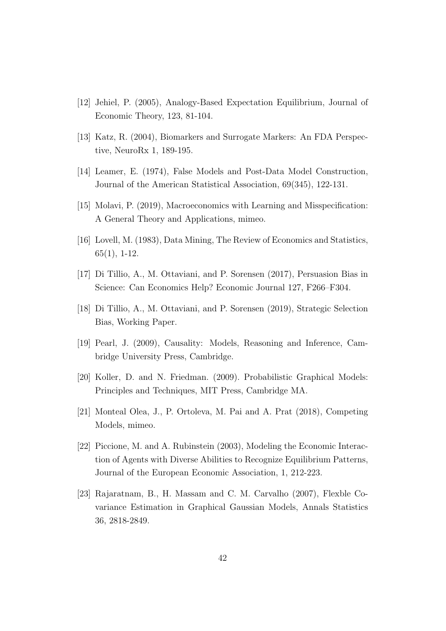- [12] Jehiel, P. (2005), Analogy-Based Expectation Equilibrium, Journal of Economic Theory, 123, 81-104.
- [13] Katz, R. (2004), Biomarkers and Surrogate Markers: An FDA Perspective, NeuroRx 1, 189-195.
- [14] Leamer, E. (1974), False Models and Post-Data Model Construction, Journal of the American Statistical Association, 69(345), 122-131.
- [15] Molavi, P. (2019), Macroeconomics with Learning and Misspecification: A General Theory and Applications, mimeo.
- [16] Lovell, M. (1983), Data Mining, The Review of Economics and Statistics, 65(1), 1-12.
- [17] Di Tillio, A., M. Ottaviani, and P. Sorensen (2017), Persuasion Bias in Science: Can Economics Help? Economic Journal 127, F266–F304.
- [18] Di Tillio, A., M. Ottaviani, and P. Sorensen (2019), Strategic Selection Bias, Working Paper.
- [19] Pearl, J. (2009), Causality: Models, Reasoning and Inference, Cambridge University Press, Cambridge.
- [20] Koller, D. and N. Friedman. (2009). Probabilistic Graphical Models: Principles and Techniques, MIT Press, Cambridge MA.
- [21] Monteal Olea, J., P. Ortoleva, M. Pai and A. Prat (2018), Competing Models, mimeo.
- [22] Piccione, M. and A. Rubinstein (2003), Modeling the Economic Interaction of Agents with Diverse Abilities to Recognize Equilibrium Patterns, Journal of the European Economic Association, 1, 212-223.
- [23] Rajaratnam, B., H. Massam and C. M. Carvalho (2007), Flexble Covariance Estimation in Graphical Gaussian Models, Annals Statistics 36, 2818-2849.